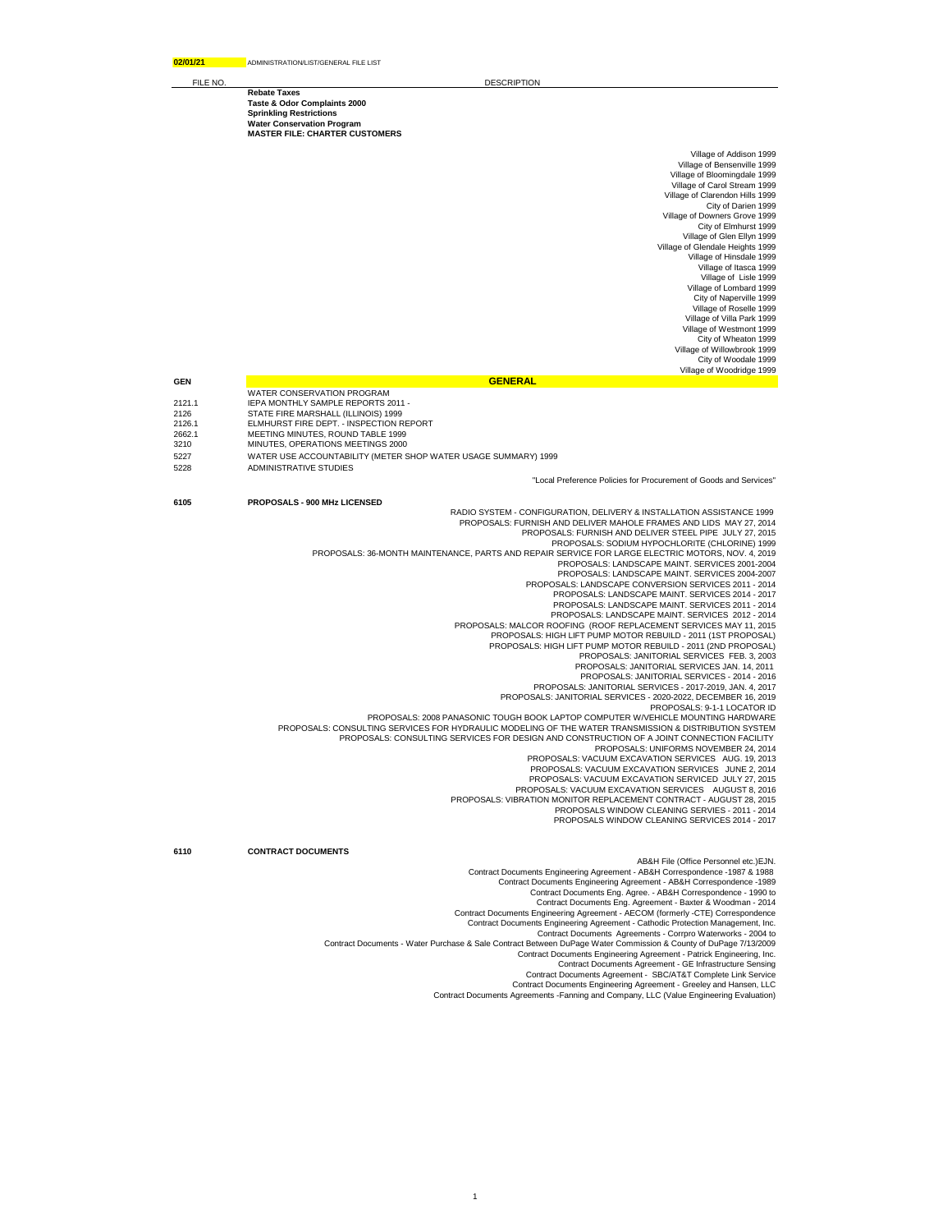**02/01/21** ADMINISTRATION/LIST/GENERAL FILE LIST

**Rebate Taxes**

**Taste & Odor Complaints 2000 Sprinkling Restrictions**

**Water Conservation Program MASTER FILE: CHARTER CUSTOMERS**

FILE NO. **DESCRIPTION** 

Village of Addison 1999 Village of Bensenville 1999 Village of Bloomingdale 1999 Village of Carol Stream 1999 Village of Clarendon Hills 1999 City of Darien 1999 Village of Downers Grove 1999 City of Elmhurst 1999 Village of Glen Ellyn 1999 Village of Glendale Heights 1999 Village of Hinsdale 1999 Village of Itasca 1999 Village of Lisle 1999 Village of Lombard 1999 City of Naperville 1999 Village of Roselle 1999 Village of Villa Park 1999 Village of Westmont 1999 City of Wheaton 1999 Village of Willowbrook 1999 City of Woodale 1999 Village of Woodridge 1999

- **GENERAL**<br>
WATER CONSERVATION PROGRAM
- 12121.1 IEPA MONTHLY SAMPLE REPORTS 2011 -<br>2126 STATE FIRE MARSHALL (ILLINOIS) 1999
- 2126 STATE FIRE MARSHALL (ILLINOIS) 1999 2126.1 ELMHURST FIRE DEPT. INSPECTION REPORT
- 
- 2662.1 MEETING MINUTES, ROUND TABLE 1999 3210 MINUTES, OPERATIONS MEETINGS 2000
- 5227 WATER USE ACCOUNTABILITY (METER SHOP WATER USAGE SUMMARY) 1999
- 5228 ADMINISTRATIVE STUDIES

"Local Preference Policies for Procurement of Goods and Services"

## **6105 PROPOSALS - 900 MHz LICENSED**

RADIO SYSTEM - CONFIGURATION, DELIVERY & INSTALLATION ASSISTANCE 1999 PROPOSALS: FURNISH AND DELIVER MAHOLE FRAMES AND LIDS MAY 27, 2014

PROPOSALS: FURNISH AND DELIVER STEEL PIPE JULY 27, 2015 PROPOSALS: SODIUM HYPOCHLORITE (CHLORINE) 1999

PROPOSALS: 36-MONTH MAINTENANCE, PARTS AND REPAIR SERVICE FOR LARGE ELECTRIC MOTORS, NOV. 4, 2019 PROPOSALS: LANDSCAPE MAINT. SERVICES 2001-2004

PROPOSALS: LANDSCAPE MAINT. SERVICES 2004-2007 PROPOSALS: LANDSCAPE CONVERSION SERVICES 2011 - 2014

PROPOSALS: LANDSCAPE MAINT. SERVICES 2014 - 2017 PROPOSALS: LANDSCAPE MAINT. SERVICES 2011 - 2014

PROPOSALS: LANDSCAPE MAINT. SERVICES 2012 - 2014 PROPOSALS: MALCOR ROOFING (ROOF REPLACEMENT SERVICES MAY 11, 2015

PROPOSALS: HIGH LIFT PUMP MOTOR REBUILD - 2011 (1ST PROPOSAL) PROPOSALS: HIGH LIFT PUMP MOTOR REBUILD - 2011 (2ND PROPOSAL)

PROPOSALS: JANITORIAL SERVICES FEB. 3, 2003 PROPOSALS: JANITORIAL SERVICES JAN. 14, 2011

PROPOSALS: JANITORIAL SERVICES - 2014 - 2016 PROPOSALS: JANITORIAL SERVICES - 2017-2019, JAN. 4, 2017

PROPOSALS: JANITORIAL SERVICES - 2020-2022, DECEMBER 16, 2019 PROPOSALS: 9-1-1 LOCATOR ID

PROPOSALS: 2008 PANASONIC TOUGH BOOK LAPTOP COMPUTER W/VEHICLE MOUNTING HARDWARE PROPOSALS: CONSULTING SERVICES FOR HYDRAULIC MODELING OF THE WATER TRANSMISSION & DISTRIBUTION SYSTEM

PROPOSALS: CONSULTING SERVICES FOR DESIGN AND CONSTRUCTION OF A JOINT CONNECTION FACILITY PROPOSALS: UNIFORMS NOVEMBER 24, 2014

PROPOSALS: VACUUM EXCAVATION SERVICES AUG. 19, 2013 PROPOSALS: VACUUM EXCAVATION SERVICES JUNE 2, 2014

PROPOSALS: VACUUM EXCAVATION SERVICED JULY 27, 2015

PROPOSALS: VACUUM EXCAVATION SERVICES AUGUST 8, 2016 PROPOSALS: VIBRATION MONITOR REPLACEMENT CONTRACT - AUGUST 28, 2015 PROPOSALS WINDOW CLEANING SERVIES - 2011 - 2014

PROPOSALS WINDOW CLEANING SERVICES 2014 - 2017

**6110 CONTRACT DOCUMENTS**

AB&H File (Office Personnel etc.)EJN. Contract Documents Engineering Agreement - AB&H Correspondence -1987 & 1988

Contract Documents Engineering Agreement - AB&H Correspondence -1989

Contract Documents Eng. Agree. - AB&H Correspondence - 1990 to<br>Contract Documents Eng. Agreement - ABXIer & Woodman - 2014<br>Contract Documents Engineering Agreement - AECOM (formerly -CTE) Correspondence

Contract Documents Engineering Agreement - Cathodic Protection Management, Inc.

Contract Documents Agreements - Corrpro Waterworks - 2004 to

Contract Documents - Water Purchase & Sale Contract Between DuPage Water Commission & County of DuPage 7/13/2009 Contract Documents Engineering Agreement - Patrick Engineering, Inc.

Contract Documents Agreement - GE Infrastructure Sensing Contract Documents Agreement - SBC/AT&T Complete Link Service

Contract Documents Engineering Agreement - Greeley and Hansen, LLC Contract Documents Agreements -Fanning and Company, LLC (Value Engineering Evaluation)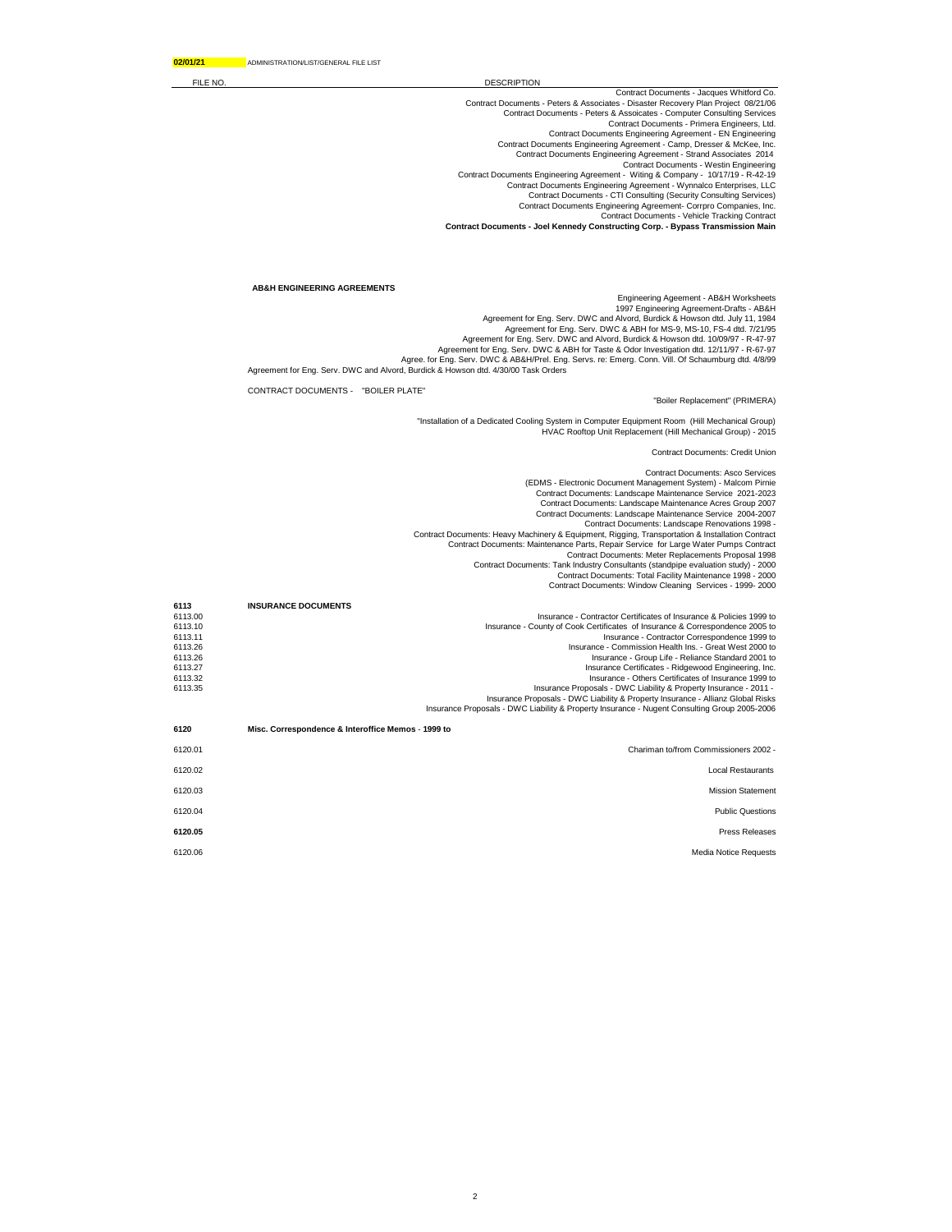FILE NO. DESCRIPTION

Contract Documents - Jacques Whitford Co. Contract Documents - Peters & Associates - Disaster Recovery Plan Project 08/21/06 Contract Documents - Peters & Assoicates - Computer Consulting Services Contract Documents - Primera Engineers, Ltd. Contract Documents Engineering Agreement - EN Engineering Contract Documents Engineering Agreement - Camp, Dresser & McKee, Inc. Contract Documents Engineering Agreement - Strand Associates 2014 Contract Documents - Westin Engineering Contract Documents Engineering Agreement - Witing & Company - 10/17/19 - R-42-19 Contract Documents Engineering Agreement - Wynnalco Enterprises, LLC Contract Documents - CTI Consulting (Security Consulting Services) Contract Documents Engineering Agreement- Corrpro Companies, Inc. Contract Documents - Vehicle Tracking Contract

**Contract Documents - Joel Kennedy Constructing Corp. - Bypass Transmission Main**

## **AB&H ENGINEERING AGREEMENTS**

Engineering Ageement - AB&H Worksheets 1997 Engineering Agreement-Drafts - AB&H Agreement for Eng. Serv. DWC and Alvord, Burdick & Howson dtd. July 11, 1984

Agreement for Eng. Serv. DWC & ABH for MS-9, MS-10, FS-4 dtd. 7/21/95<br>Agreement for Eng. Serv. DWC and Alvord, Burdick & Howson dtd. 10/09/97 - R-47-97<br>Agreement for Eng. Serv. DWC & ABH for Taste & Odor Investigation dtd.

Agree. for Eng. Serv. DWC & AB&H/Prel. Eng. Servs. re: Emerg. Conn. Vill. Of Schaumburg dtd. 4/8/99<br>Agreement for Eng. Serv. DWC and Alvord, Burdick & Howson dtd. 4/30/00 Task Orders

CONTRACT DOCUMENTS - "BOILER PLATE"

## "Boiler Replacement" (PRIMERA)

"Installation of a Dedicated Cooling System in Computer Equipment Room (Hill Mechanical Group) HVAC Rooftop Unit Replacement (Hill Mechanical Group) - 2015

Contract Documents: Credit Union

Contract Documents: Asco Services (EDMS - Electronic Document Management System) - Malcom Pirnie Contract Documents: Landscape Maintenance Service 2021-2023 Contract Documents: Landscape Maintenance Acres Group 2007 Contract Documents: Landscape Maintenance Service 2004-2007 Contract Documents: Landscape Renovations 1998 - Contract Documents: Heavy Machinery & Equipment, Rigging, Transportation & Installation Contract Contract Documents: Maintenance Parts, Repair Service for Large Water Pumps Contract Contract Documents: Meter Replacements Proposal 1998 Contract Documents: Tank Industry Consultants (standpipe evaluation study) - 2000 Contract Documents: Total Facility Maintenance 1998 - 2000 Contract Documents: Window Cleaning Services - 1999- 2000 **6113 INSURANCE DOCUMENTS** 6113.00 Insurance - Contractor Certificates of Insurance & Policies 1999 to<br>6113.00 Insurance - County of Cook Certificates of Insurance & Correspondence 2005 to 6113.10 Insurance - County of Cook Certificates of Insurance & Correspondence 2005 to 6113.11 Insurance - Contractor Correspondence 1999 to 6113.26 Insurance - Commission Health Ins. - Great West 2000 to 6113.26 Insurance - Group Life - Reliance Standard 2001 to 6113.27 Insurance Certificates - Ridgewood Engineering, Inc. 6113.32 Insurance - Others Certificates of Insurance 1999 to - Insurance Proposals - DWC Liability & Property Insurance - 2011<br>Insurance Proposals - DWC Liability & Property Insurance Insurs Glianz Global Risks<br>Insurance Proposals - DWC Liability & Property Insurance - Nugent Consul **6120 Misc. Correspondence & Interoffice Memos** - **1999 to**

| Chariman to/from Commissioners 2002 - | 6120.01 |
|---------------------------------------|---------|
| <b>Local Restaurants</b>              | 6120.02 |
| <b>Mission Statement</b>              | 6120.03 |
| <b>Public Questions</b>               | 6120.04 |
| Press Releases                        | 6120.05 |
| <b>Media Notice Requests</b>          | 6120.06 |
|                                       |         |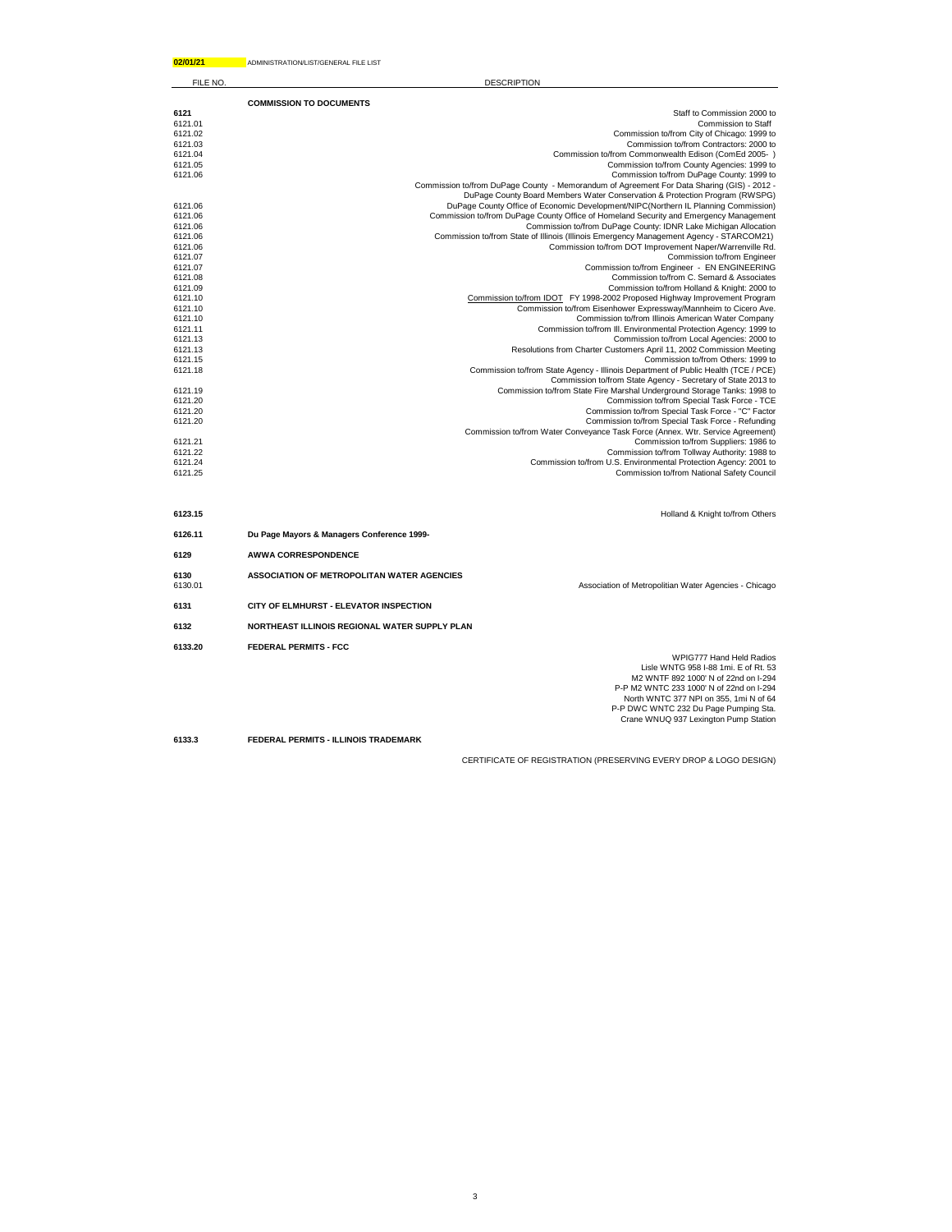| 02/01/21           | ADMINISTRATION/LIST/GENERAL FILE LIST                                                                                                                                                                                                                                          |  |
|--------------------|--------------------------------------------------------------------------------------------------------------------------------------------------------------------------------------------------------------------------------------------------------------------------------|--|
| FILE NO.           | <b>DESCRIPTION</b>                                                                                                                                                                                                                                                             |  |
|                    | <b>COMMISSION TO DOCUMENTS</b>                                                                                                                                                                                                                                                 |  |
| 6121               | Staff to Commission 2000 to                                                                                                                                                                                                                                                    |  |
| 6121.01            | Commission to Staff                                                                                                                                                                                                                                                            |  |
| 6121.02            | Commission to/from City of Chicago: 1999 to                                                                                                                                                                                                                                    |  |
| 6121.03            | Commission to/from Contractors: 2000 to                                                                                                                                                                                                                                        |  |
| 6121.04            | Commission to/from Commonwealth Edison (ComEd 2005-)                                                                                                                                                                                                                           |  |
| 6121.05<br>6121.06 | Commission to/from County Agencies: 1999 to<br>Commission to/from DuPage County: 1999 to                                                                                                                                                                                       |  |
|                    | Commission to/from DuPage County - Memorandum of Agreement For Data Sharing (GIS) - 2012 -                                                                                                                                                                                     |  |
|                    | DuPage County Board Members Water Conservation & Protection Program (RWSPG)                                                                                                                                                                                                    |  |
| 6121.06            | DuPage County Office of Economic Development/NIPC(Northern IL Planning Commission)                                                                                                                                                                                             |  |
| 6121.06            | Commission to/from DuPage County Office of Homeland Security and Emergency Management                                                                                                                                                                                          |  |
| 6121.06            | Commission to/from DuPage County: IDNR Lake Michigan Allocation                                                                                                                                                                                                                |  |
| 6121.06            | Commission to/from State of Illinois (Illinois Emergency Management Agency - STARCOM21)                                                                                                                                                                                        |  |
| 6121.06            | Commission to/from DOT Improvement Naper/Warrenville Rd.                                                                                                                                                                                                                       |  |
| 6121.07            | Commission to/from Engineer                                                                                                                                                                                                                                                    |  |
| 6121.07<br>6121.08 | Commission to/from Engineer - EN ENGINEERING<br>Commission to/from C. Semard & Associates                                                                                                                                                                                      |  |
| 6121.09            | Commission to/from Holland & Knight: 2000 to                                                                                                                                                                                                                                   |  |
| 6121.10            | Commission to/from IDOT FY 1998-2002 Proposed Highway Improvement Program                                                                                                                                                                                                      |  |
| 6121.10            | Commission to/from Eisenhower Expressway/Mannheim to Cicero Ave.                                                                                                                                                                                                               |  |
| 6121.10            | Commission to/from Illinois American Water Company                                                                                                                                                                                                                             |  |
| 6121.11            | Commission to/from III. Environmental Protection Agency: 1999 to                                                                                                                                                                                                               |  |
| 6121.13            | Commission to/from Local Agencies: 2000 to                                                                                                                                                                                                                                     |  |
| 6121.13            | Resolutions from Charter Customers April 11, 2002 Commission Meeting                                                                                                                                                                                                           |  |
| 6121.15<br>6121.18 | Commission to/from Others: 1999 to                                                                                                                                                                                                                                             |  |
|                    | Commission to/from State Agency - Illinois Department of Public Health (TCE / PCE)<br>Commission to/from State Agency - Secretary of State 2013 to                                                                                                                             |  |
| 6121.19            | Commission to/from State Fire Marshal Underground Storage Tanks: 1998 to                                                                                                                                                                                                       |  |
| 6121.20            | Commission to/from Special Task Force - TCE                                                                                                                                                                                                                                    |  |
| 6121.20            | Commission to/from Special Task Force - "C" Factor                                                                                                                                                                                                                             |  |
| 6121.20            | Commission to/from Special Task Force - Refunding                                                                                                                                                                                                                              |  |
|                    | Commission to/from Water Conveyance Task Force (Annex. Wtr. Service Agreement)                                                                                                                                                                                                 |  |
| 6121.21<br>6121.22 | Commission to/from Suppliers: 1986 to<br>Commission to/from Tollway Authority: 1988 to                                                                                                                                                                                         |  |
| 6121.24            | Commission to/from U.S. Environmental Protection Agency: 2001 to                                                                                                                                                                                                               |  |
| 6121.25            | Commission to/from National Safety Council                                                                                                                                                                                                                                     |  |
|                    |                                                                                                                                                                                                                                                                                |  |
| 6123.15            | Holland & Knight to/from Others                                                                                                                                                                                                                                                |  |
| 6126.11            | Du Page Mayors & Managers Conference 1999-                                                                                                                                                                                                                                     |  |
|                    |                                                                                                                                                                                                                                                                                |  |
| 6129               | <b>AWWA CORRESPONDENCE</b>                                                                                                                                                                                                                                                     |  |
| 6130<br>6130.01    | ASSOCIATION OF METROPOLITAN WATER AGENCIES<br>Association of Metropolitian Water Agencies - Chicago                                                                                                                                                                            |  |
| 6131               | CITY OF ELMHURST - ELEVATOR INSPECTION                                                                                                                                                                                                                                         |  |
| 6132               | NORTHEAST ILLINOIS REGIONAL WATER SUPPLY PLAN                                                                                                                                                                                                                                  |  |
|                    |                                                                                                                                                                                                                                                                                |  |
| 6133.20            | <b>FEDERAL PERMITS - FCC</b><br><b>WPIG777 Hand Held Radios</b><br>Lisle WNTG 958 I-88 1mi, E of Rt. 53<br>M2 WNTF 892 1000' N of 22nd on I-294<br>P-P M2 WNTC 233 1000' N of 22nd on I-294<br>North WNTC 377 NPI on 355, 1mi N of 64<br>P-P DWC WNTC 232 Du Page Pumping Sta. |  |
|                    | Crane WNUQ 937 Lexington Pump Station                                                                                                                                                                                                                                          |  |
| 6133.3             | FEDERAL PERMITS - ILLINOIS TRADEMARK                                                                                                                                                                                                                                           |  |

CERTIFICATE OF REGISTRATION (PRESERVING EVERY DROP & LOGO DESIGN)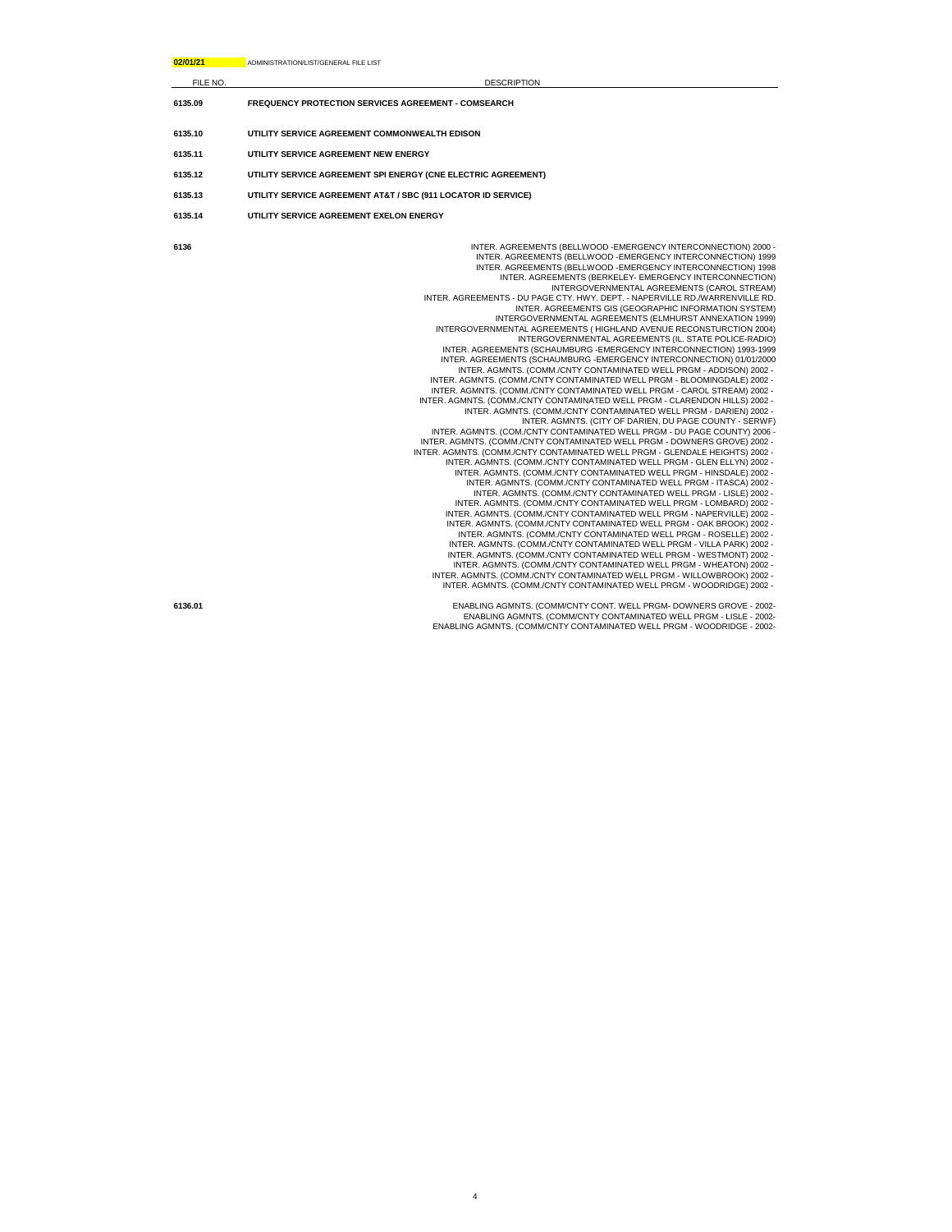| 02/01/21 | ADMINISTRATION/LIST/GENERAL FILE LIST                                                                                                                                                                                                                                                                                                                                                                                                                                                                                                                                                                                                                                                                                                                                                                                                                                                                                                                                                                                                                                                                                                                                                                                                                                                                                                                                                                                                                                                                                                                                                                                                                                                                                                                                                                                                                                                                                                                                                                                                                                                                                                                                                                                                                                                                                                                                                                                                                               |
|----------|---------------------------------------------------------------------------------------------------------------------------------------------------------------------------------------------------------------------------------------------------------------------------------------------------------------------------------------------------------------------------------------------------------------------------------------------------------------------------------------------------------------------------------------------------------------------------------------------------------------------------------------------------------------------------------------------------------------------------------------------------------------------------------------------------------------------------------------------------------------------------------------------------------------------------------------------------------------------------------------------------------------------------------------------------------------------------------------------------------------------------------------------------------------------------------------------------------------------------------------------------------------------------------------------------------------------------------------------------------------------------------------------------------------------------------------------------------------------------------------------------------------------------------------------------------------------------------------------------------------------------------------------------------------------------------------------------------------------------------------------------------------------------------------------------------------------------------------------------------------------------------------------------------------------------------------------------------------------------------------------------------------------------------------------------------------------------------------------------------------------------------------------------------------------------------------------------------------------------------------------------------------------------------------------------------------------------------------------------------------------------------------------------------------------------------------------------------------------|
| FILE NO. | <b>DESCRIPTION</b>                                                                                                                                                                                                                                                                                                                                                                                                                                                                                                                                                                                                                                                                                                                                                                                                                                                                                                                                                                                                                                                                                                                                                                                                                                                                                                                                                                                                                                                                                                                                                                                                                                                                                                                                                                                                                                                                                                                                                                                                                                                                                                                                                                                                                                                                                                                                                                                                                                                  |
| 6135.09  | <b>FREQUENCY PROTECTION SERVICES AGREEMENT - COMSEARCH</b>                                                                                                                                                                                                                                                                                                                                                                                                                                                                                                                                                                                                                                                                                                                                                                                                                                                                                                                                                                                                                                                                                                                                                                                                                                                                                                                                                                                                                                                                                                                                                                                                                                                                                                                                                                                                                                                                                                                                                                                                                                                                                                                                                                                                                                                                                                                                                                                                          |
| 6135.10  | UTILITY SERVICE AGREEMENT COMMONWEALTH EDISON                                                                                                                                                                                                                                                                                                                                                                                                                                                                                                                                                                                                                                                                                                                                                                                                                                                                                                                                                                                                                                                                                                                                                                                                                                                                                                                                                                                                                                                                                                                                                                                                                                                                                                                                                                                                                                                                                                                                                                                                                                                                                                                                                                                                                                                                                                                                                                                                                       |
| 6135.11  | UTILITY SERVICE AGREEMENT NEW ENERGY                                                                                                                                                                                                                                                                                                                                                                                                                                                                                                                                                                                                                                                                                                                                                                                                                                                                                                                                                                                                                                                                                                                                                                                                                                                                                                                                                                                                                                                                                                                                                                                                                                                                                                                                                                                                                                                                                                                                                                                                                                                                                                                                                                                                                                                                                                                                                                                                                                |
| 6135.12  | UTILITY SERVICE AGREEMENT SPI ENERGY (CNE ELECTRIC AGREEMENT)                                                                                                                                                                                                                                                                                                                                                                                                                                                                                                                                                                                                                                                                                                                                                                                                                                                                                                                                                                                                                                                                                                                                                                                                                                                                                                                                                                                                                                                                                                                                                                                                                                                                                                                                                                                                                                                                                                                                                                                                                                                                                                                                                                                                                                                                                                                                                                                                       |
| 6135.13  | UTILITY SERVICE AGREEMENT AT&T / SBC (911 LOCATOR ID SERVICE)                                                                                                                                                                                                                                                                                                                                                                                                                                                                                                                                                                                                                                                                                                                                                                                                                                                                                                                                                                                                                                                                                                                                                                                                                                                                                                                                                                                                                                                                                                                                                                                                                                                                                                                                                                                                                                                                                                                                                                                                                                                                                                                                                                                                                                                                                                                                                                                                       |
| 6135.14  | UTILITY SERVICE AGREEMENT EXELON ENERGY                                                                                                                                                                                                                                                                                                                                                                                                                                                                                                                                                                                                                                                                                                                                                                                                                                                                                                                                                                                                                                                                                                                                                                                                                                                                                                                                                                                                                                                                                                                                                                                                                                                                                                                                                                                                                                                                                                                                                                                                                                                                                                                                                                                                                                                                                                                                                                                                                             |
| 6136     | INTER. AGREEMENTS (BELLWOOD - EMERGENCY INTERCONNECTION) 2000 -<br>INTER. AGREEMENTS (BELLWOOD - EMERGENCY INTERCONNECTION) 1999<br>INTER. AGREEMENTS (BELLWOOD - EMERGENCY INTERCONNECTION) 1998<br>INTER. AGREEMENTS (BERKELEY- EMERGENCY INTERCONNECTION)<br>INTERGOVERNMENTAL AGREEMENTS (CAROL STREAM)<br>INTER. AGREEMENTS - DU PAGE CTY. HWY. DEPT. - NAPERVILLE RD./WARRENVILLE RD.<br>INTER. AGREEMENTS GIS (GEOGRAPHIC INFORMATION SYSTEM)<br>INTERGOVERNMENTAL AGREEMENTS (ELMHURST ANNEXATION 1999)<br>INTERGOVERNMENTAL AGREEMENTS (HIGHLAND AVENUE RECONSTURCTION 2004)<br>INTERGOVERNMENTAL AGREEMENTS (IL. STATE POLICE-RADIO)<br>INTER. AGREEMENTS (SCHAUMBURG - EMERGENCY INTERCONNECTION) 1993-1999<br>INTER. AGREEMENTS (SCHAUMBURG - EMERGENCY INTERCONNECTION) 01/01/2000<br>INTER. AGMNTS. (COMM./CNTY CONTAMINATED WELL PRGM - ADDISON) 2002 -<br>INTER. AGMNTS. (COMM./CNTY CONTAMINATED WELL PRGM - BLOOMINGDALE) 2002 -<br>INTER. AGMNTS. (COMM./CNTY CONTAMINATED WELL PRGM - CAROL STREAM) 2002 -<br>INTER. AGMNTS. (COMM./CNTY CONTAMINATED WELL PRGM - CLARENDON HILLS) 2002 -<br>INTER. AGMNTS. (COMM./CNTY CONTAMINATED WELL PRGM - DARIEN) 2002 -<br>INTER. AGMNTS. (CITY OF DARIEN, DU PAGE COUNTY - SERWF)<br>INTER. AGMNTS. (COM./CNTY CONTAMINATED WELL PRGM - DU PAGE COUNTY) 2006 -<br>INTER. AGMNTS. (COMM./CNTY CONTAMINATED WELL PRGM - DOWNERS GROVE) 2002 -<br>INTER. AGMNTS. (COMM./CNTY CONTAMINATED WELL PRGM - GLENDALE HEIGHTS) 2002 -<br>INTER. AGMNTS. (COMM./CNTY CONTAMINATED WELL PRGM - GLEN ELLYN) 2002 -<br>INTER. AGMNTS. (COMM./CNTY CONTAMINATED WELL PRGM - HINSDALE) 2002 -<br>INTER. AGMNTS. (COMM./CNTY CONTAMINATED WELL PRGM - ITASCA) 2002 -<br>INTER. AGMNTS. (COMM./CNTY CONTAMINATED WELL PRGM - LISLE) 2002 -<br>INTER. AGMNTS. (COMM./CNTY CONTAMINATED WELL PRGM - LOMBARD) 2002 -<br>INTER. AGMNTS. (COMM./CNTY CONTAMINATED WELL PRGM - NAPERVILLE) 2002 -<br>INTER. AGMNTS. (COMM./CNTY CONTAMINATED WELL PRGM - OAK BROOK) 2002 -<br>INTER. AGMNTS. (COMM./CNTY CONTAMINATED WELL PRGM - ROSELLE) 2002 -<br>INTER. AGMNTS. (COMM./CNTY CONTAMINATED WELL PRGM - VILLA PARK) 2002 -<br>INTER, AGMNTS, (COMM./CNTY CONTAMINATED WELL PRGM - WESTMONT) 2002 -<br>INTER. AGMNTS. (COMM./CNTY CONTAMINATED WELL PRGM - WHEATON) 2002 -<br>INTER. AGMNTS. (COMM./CNTY CONTAMINATED WELL PRGM - WILLOWBROOK) 2002 -<br>INTER. AGMNTS. (COMM./CNTY CONTAMINATED WELL PRGM - WOODRIDGE) 2002 - |
| 6136.01  | ENABLING AGMNTS. (COMM/CNTY CONT. WELL PRGM- DOWNERS GROVE - 2002-                                                                                                                                                                                                                                                                                                                                                                                                                                                                                                                                                                                                                                                                                                                                                                                                                                                                                                                                                                                                                                                                                                                                                                                                                                                                                                                                                                                                                                                                                                                                                                                                                                                                                                                                                                                                                                                                                                                                                                                                                                                                                                                                                                                                                                                                                                                                                                                                  |

ENABLING AGMNTS. (COMM/CNTY CONT. WELL PRGM- DOWNERS GROVE - 2002-<br>ENABLING AGMNTS. (COMM/CNTY CONTAMINATED WELL PRGM - WOODRIDGE - 2002-<br>ENABLING AGMNTS. (COMM/CNTY CONTAMINATED WELL PRGM - WOODRIDGE - 2002-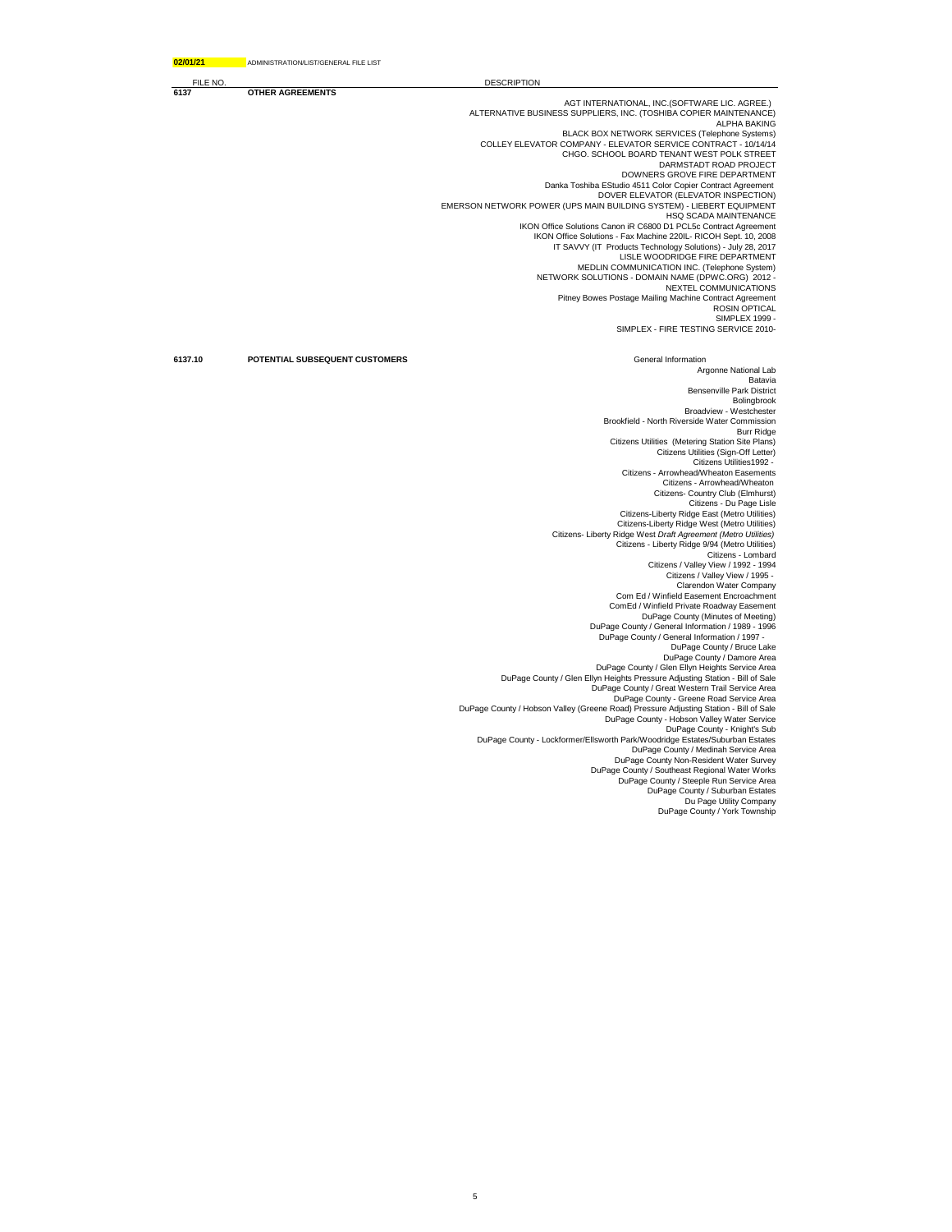| 02/01/21 | ADMINISTRATION/LIST/GENERAL FILE LIST |                                                                                                                                      |
|----------|---------------------------------------|--------------------------------------------------------------------------------------------------------------------------------------|
| FILE NO  |                                       | <b>DESCRIPTION</b>                                                                                                                   |
| 6137     | <b>OTHER AGREEMENTS</b>               |                                                                                                                                      |
|          |                                       | AGT INTERNATIONAL, INC.(SOFTWARE LIC. AGREE.)<br>ALTERNATIVE BUSINESS SUPPLIERS, INC. (TOSHIBA COPIER MAINTENANCE)                   |
|          |                                       | <b>ALPHA BAKING</b><br>BLACK BOX NETWORK SERVICES (Telephone Systems)                                                                |
|          |                                       | COLLEY ELEVATOR COMPANY - ELEVATOR SERVICE CONTRACT - 10/14/14                                                                       |
|          |                                       | CHGO. SCHOOL BOARD TENANT WEST POLK STREET<br>DARMSTADT ROAD PROJECT                                                                 |
|          |                                       | DOWNERS GROVE FIRE DEPARTMENT                                                                                                        |
|          |                                       | Danka Toshiba EStudio 4511 Color Copier Contract Agreement                                                                           |
|          |                                       | DOVER ELEVATOR (ELEVATOR INSPECTION)                                                                                                 |
|          |                                       | EMERSON NETWORK POWER (UPS MAIN BUILDING SYSTEM) - LIEBERT EQUIPMENT<br>HSQ SCADA MAINTENANCE                                        |
|          |                                       | IKON Office Solutions Canon iR C6800 D1 PCL5c Contract Agreement                                                                     |
|          |                                       | IKON Office Solutions - Fax Machine 220IL- RICOH Sept. 10, 2008                                                                      |
|          |                                       | IT SAVVY (IT Products Technology Solutions) - July 28, 2017                                                                          |
|          |                                       | LISLE WOODRIDGE FIRE DEPARTMENT                                                                                                      |
|          |                                       | MEDLIN COMMUNICATION INC. (Telephone System)<br>NETWORK SOLUTIONS - DOMAIN NAME (DPWC.ORG) 2012 -                                    |
|          |                                       | NEXTEL COMMUNICATIONS                                                                                                                |
|          |                                       | Pitney Bowes Postage Mailing Machine Contract Agreement                                                                              |
|          |                                       | <b>ROSIN OPTICAL</b>                                                                                                                 |
|          |                                       | <b>SIMPLEX 1999 -</b><br>SIMPLEX - FIRE TESTING SERVICE 2010-                                                                        |
|          |                                       |                                                                                                                                      |
| 6137.10  | POTENTIAL SUBSEQUENT CUSTOMERS        | General Information<br>Argonne National Lab                                                                                          |
|          |                                       | Batavia                                                                                                                              |
|          |                                       | <b>Bensenville Park District</b>                                                                                                     |
|          |                                       | Bolingbrook                                                                                                                          |
|          |                                       | Broadview - Westchester                                                                                                              |
|          |                                       | Brookfield - North Riverside Water Commission<br><b>Burr Ridge</b>                                                                   |
|          |                                       | Citizens Utilities (Metering Station Site Plans)                                                                                     |
|          |                                       | Citizens Utilities (Sign-Off Letter)<br>Citizens Utilities1992 -                                                                     |
|          |                                       | Citizens - Arrowhead/Wheaton Easements                                                                                               |
|          |                                       | Citizens - Arrowhead/Wheaton                                                                                                         |
|          |                                       | Citizens- Country Club (Elmhurst)                                                                                                    |
|          |                                       | Citizens - Du Page Lisle                                                                                                             |
|          |                                       | Citizens-Liberty Ridge East (Metro Utilities)                                                                                        |
|          |                                       | Citizens-Liberty Ridge West (Metro Utilities)                                                                                        |
|          |                                       | Citizens- Liberty Ridge West Draft Agreement (Metro Utilities)                                                                       |
|          |                                       | Citizens - Liberty Ridge 9/94 (Metro Utilities)                                                                                      |
|          |                                       | Citizens - Lombard<br>Citizens / Valley View / 1992 - 1994                                                                           |
|          |                                       | Citizens / Valley View / 1995 -                                                                                                      |
|          |                                       | Clarendon Water Company                                                                                                              |
|          |                                       | Com Ed / Winfield Easement Encroachment                                                                                              |
|          |                                       | ComEd / Winfield Private Roadway Easement                                                                                            |
|          |                                       | DuPage County (Minutes of Meeting)                                                                                                   |
|          |                                       | DuPage County / General Information / 1989 - 1996                                                                                    |
|          |                                       | DuPage County / General Information / 1997 -<br>DuPage County / Bruce Lake                                                           |
|          |                                       | DuPage County / Damore Area                                                                                                          |
|          |                                       | DuPage County / Glen Ellyn Heights Service Area                                                                                      |
|          |                                       | DuPage County / Glen Ellyn Heights Pressure Adjusting Station - Bill of Sale                                                         |
|          |                                       | DuPage County / Great Western Trail Service Area                                                                                     |
|          |                                       | DuPage County - Greene Road Service Area                                                                                             |
|          |                                       | DuPage County / Hobson Valley (Greene Road) Pressure Adjusting Station - Bill of Sale<br>DuPage County - Hobson Valley Water Service |
|          |                                       | DuPage County - Knight's Sub                                                                                                         |
|          |                                       | DuPage County - Lockformer/Ellsworth Park/Woodridge Estates/Suburban Estates                                                         |
|          |                                       | DuPage County / Medinah Service Area                                                                                                 |
|          |                                       | DuPage County Non-Resident Water Survey                                                                                              |
|          |                                       | DuPage County / Southeast Regional Water Works                                                                                       |
|          |                                       | DuPage County / Steeple Run Service Area                                                                                             |
|          |                                       | DuPage County / Suburban Estates                                                                                                     |
|          |                                       | Du Page Utility Company                                                                                                              |
|          |                                       | DuPage County / York Township                                                                                                        |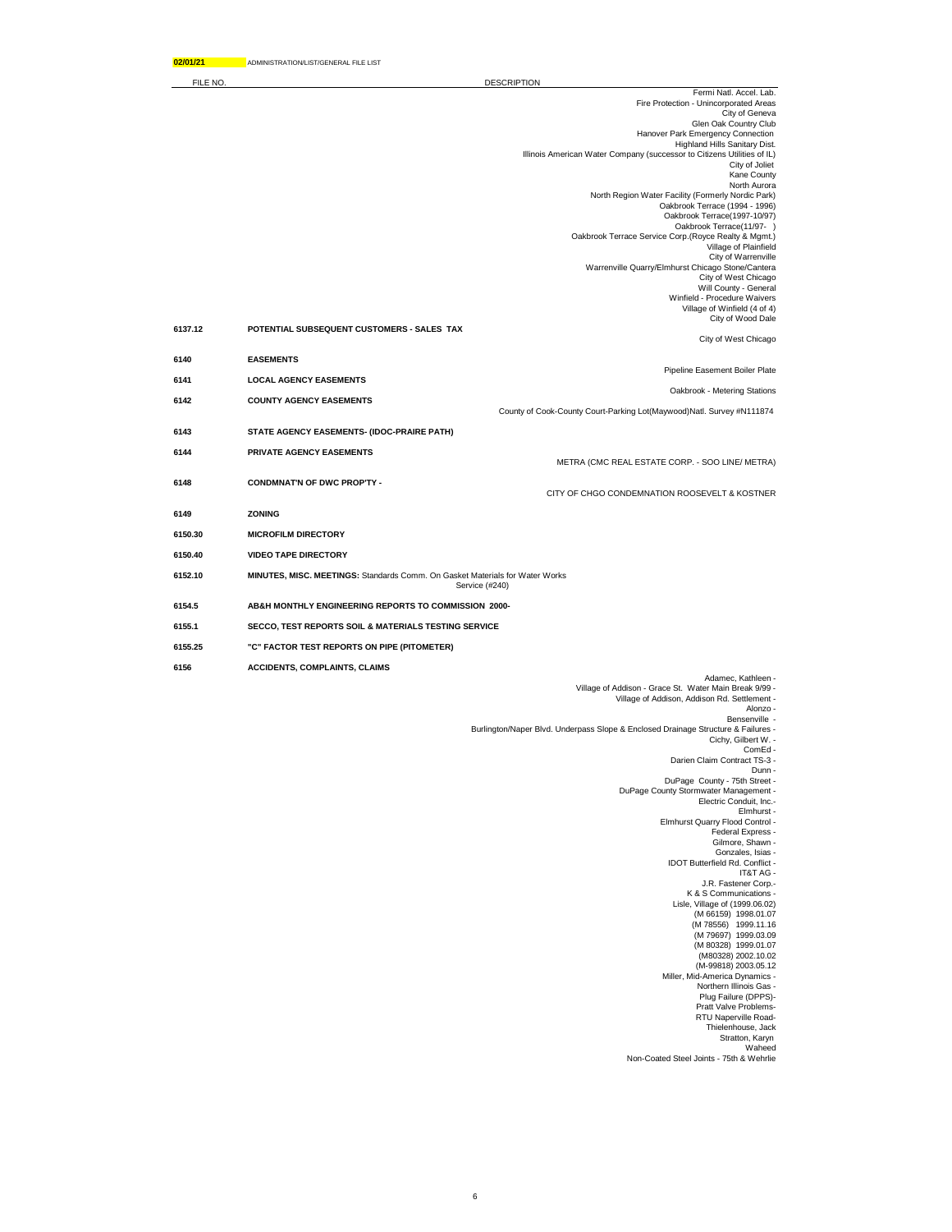DESCRIPTION

| FILE NO |                                                                              | <b>DESCRIPTION</b>                                                                                       |
|---------|------------------------------------------------------------------------------|----------------------------------------------------------------------------------------------------------|
|         |                                                                              | Fermi Natl. Accel. Lab.<br>Fire Protection - Unincorporated Areas                                        |
|         |                                                                              | City of Geneva<br>Glen Oak Country Club                                                                  |
|         |                                                                              | Hanover Park Emergency Connection                                                                        |
|         |                                                                              | Highland Hills Sanitary Dist.<br>Illinois American Water Company (successor to Citizens Utilities of IL) |
|         |                                                                              | City of Joliet<br>Kane County                                                                            |
|         |                                                                              | North Aurora                                                                                             |
|         |                                                                              | North Region Water Facility (Formerly Nordic Park)<br>Oakbrook Terrace (1994 - 1996)                     |
|         |                                                                              | Oakbrook Terrace(1997-10/97)<br>Oakbrook Terrace(11/97-)                                                 |
|         |                                                                              | Oakbrook Terrace Service Corp.(Royce Realty & Mgmt.)<br>Village of Plainfield                            |
|         |                                                                              | City of Warrenville                                                                                      |
|         |                                                                              | Warrenville Quarry/Elmhurst Chicago Stone/Cantera<br>City of West Chicago                                |
|         |                                                                              | Will County - General<br>Winfield - Procedure Waivers                                                    |
|         |                                                                              | Village of Winfield (4 of 4)<br>City of Wood Dale                                                        |
| 6137.12 | POTENTIAL SUBSEQUENT CUSTOMERS - SALES TAX                                   |                                                                                                          |
|         |                                                                              | City of West Chicago                                                                                     |
| 6140    | <b>EASEMENTS</b>                                                             | Pipeline Easement Boiler Plate                                                                           |
| 6141    | <b>LOCAL AGENCY EASEMENTS</b>                                                | Oakbrook - Metering Stations                                                                             |
| 6142    | <b>COUNTY AGENCY EASEMENTS</b>                                               | County of Cook-County Court-Parking Lot(Maywood)Natl. Survey #N111874                                    |
| 6143    | STATE AGENCY EASEMENTS- (IDOC-PRAIRE PATH)                                   |                                                                                                          |
|         |                                                                              |                                                                                                          |
| 6144    | PRIVATE AGENCY EASEMENTS                                                     | METRA (CMC REAL ESTATE CORP. - SOO LINE/ METRA)                                                          |
| 6148    | <b>CONDMNAT'N OF DWC PROP'TY -</b>                                           |                                                                                                          |
|         |                                                                              | CITY OF CHGO CONDEMNATION ROOSEVELT & KOSTNER                                                            |
| 6149    | <b>ZONING</b>                                                                |                                                                                                          |
| 6150.30 | <b>MICROFILM DIRECTORY</b>                                                   |                                                                                                          |
| 6150.40 | <b>VIDEO TAPE DIRECTORY</b>                                                  |                                                                                                          |
| 6152.10 | MINUTES, MISC. MEETINGS: Standards Comm. On Gasket Materials for Water Works | Service (#240)                                                                                           |
| 6154.5  | AB&H MONTHLY ENGINEERING REPORTS TO COMMISSION 2000-                         |                                                                                                          |
| 6155.1  | SECCO, TEST REPORTS SOIL & MATERIALS TESTING SERVICE                         |                                                                                                          |
| 6155.25 | "C" FACTOR TEST REPORTS ON PIPE (PITOMETER)                                  |                                                                                                          |
| 6156    | <b>ACCIDENTS, COMPLAINTS, CLAIMS</b>                                         |                                                                                                          |
|         |                                                                              | Adamec, Kathleen -                                                                                       |
|         |                                                                              | Village of Addison - Grace St. Water Main Break 9/99 -<br>Village of Addison, Addison Rd. Settlement -   |
|         |                                                                              | Alonzo -<br>Bensenville -                                                                                |
|         |                                                                              | Burlington/Naper Blvd. Underpass Slope & Enclosed Drainage Structure & Failures -<br>Cichy, Gilbert W. - |
|         |                                                                              | ComEd-<br>Darien Claim Contract TS-3 -                                                                   |
|         |                                                                              | Dunn -<br>DuPage County - 75th Street -                                                                  |
|         |                                                                              | DuPage County Stormwater Management -<br>Electric Conduit, Inc.-                                         |
|         |                                                                              | Elmhurst -                                                                                               |
|         |                                                                              | Elmhurst Quarry Flood Control -<br>Federal Express -                                                     |
|         |                                                                              | Gilmore, Shawn -<br>Gonzales, Isias -                                                                    |
|         |                                                                              | IDOT Butterfield Rd. Conflict -<br>IT&T AG -                                                             |
|         |                                                                              | J.R. Fastener Corp.-                                                                                     |
|         |                                                                              | K & S Communications -<br>Lisle, Village of (1999.06.02)                                                 |
|         |                                                                              | (M 66159) 1998.01.07<br>(M 78556) 1999.11.16                                                             |
|         |                                                                              | (M 79697) 1999.03.09<br>(M 80328) 1999.01.07                                                             |
|         |                                                                              | (M80328) 2002.10.02                                                                                      |
|         |                                                                              | (M-99818) 2003.05.12<br>Miller, Mid-America Dynamics -                                                   |
|         |                                                                              | Northern Illinois Gas -<br>Plug Failure (DPPS)-                                                          |
|         |                                                                              | Pratt Valve Problems-                                                                                    |
|         |                                                                              | RTU Naperville Road-<br>Thielenhouse, Jack                                                               |
|         |                                                                              | Stratton, Karyn<br>Waheed                                                                                |
|         |                                                                              | Non-Coated Steel Joints - 75th & Wehrlie                                                                 |
|         |                                                                              |                                                                                                          |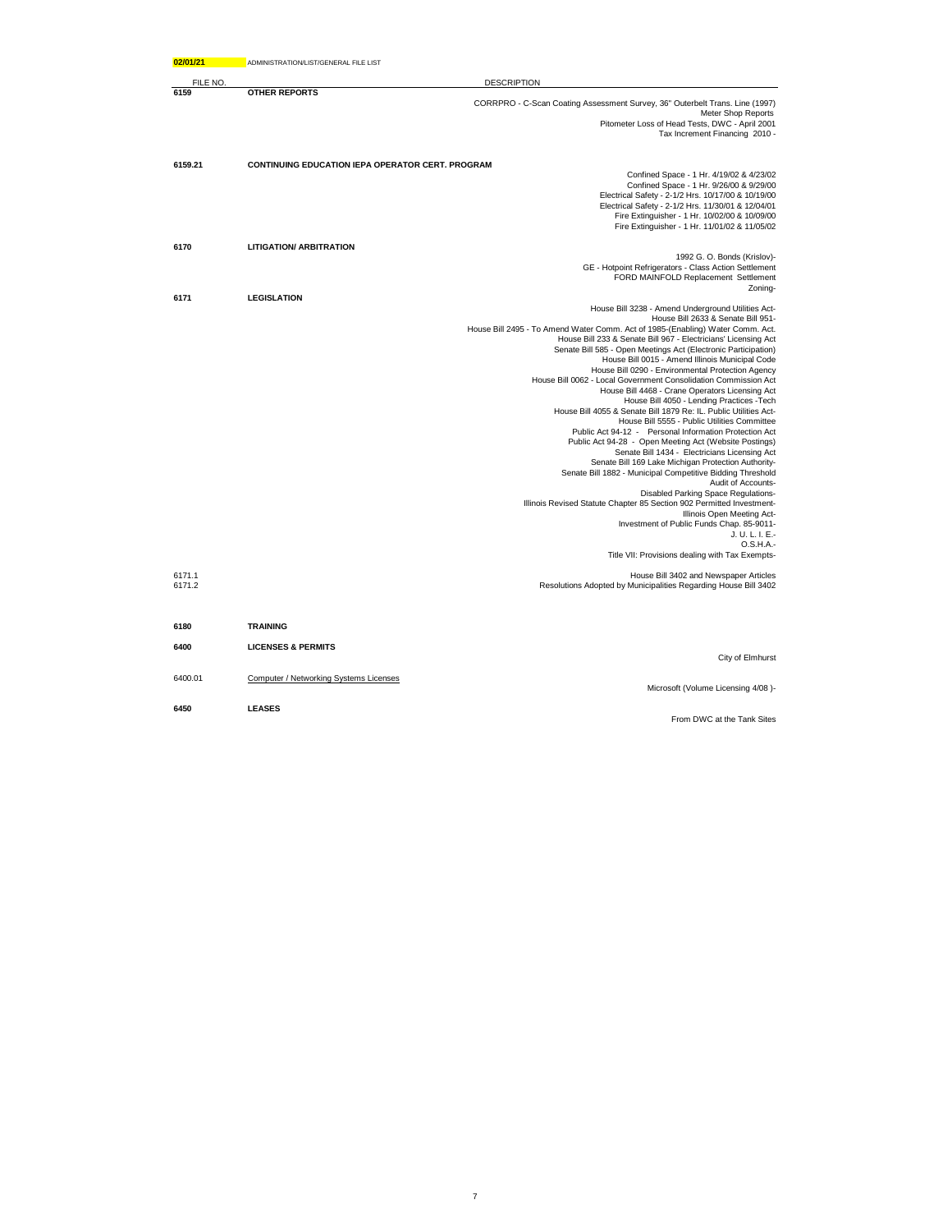| 02/01/21         | ADMINISTRATION/LIST/GENERAL FILE LIST                   |                                                                                                                                                                                                                                                                                                                                                                                                                                                                                                                                                                                                                                                                                                                                                                                                                                                                                                                                                                                                                                                                                                                                                                                                                                                                                                              |
|------------------|---------------------------------------------------------|--------------------------------------------------------------------------------------------------------------------------------------------------------------------------------------------------------------------------------------------------------------------------------------------------------------------------------------------------------------------------------------------------------------------------------------------------------------------------------------------------------------------------------------------------------------------------------------------------------------------------------------------------------------------------------------------------------------------------------------------------------------------------------------------------------------------------------------------------------------------------------------------------------------------------------------------------------------------------------------------------------------------------------------------------------------------------------------------------------------------------------------------------------------------------------------------------------------------------------------------------------------------------------------------------------------|
| FILE NO          |                                                         | <b>DESCRIPTION</b>                                                                                                                                                                                                                                                                                                                                                                                                                                                                                                                                                                                                                                                                                                                                                                                                                                                                                                                                                                                                                                                                                                                                                                                                                                                                                           |
| 6159             | <b>OTHER REPORTS</b>                                    | CORRPRO - C-Scan Coating Assessment Survey, 36" Outerbelt Trans. Line (1997)<br><b>Meter Shop Reports</b><br>Pitometer Loss of Head Tests, DWC - April 2001<br>Tax Increment Financing 2010 -                                                                                                                                                                                                                                                                                                                                                                                                                                                                                                                                                                                                                                                                                                                                                                                                                                                                                                                                                                                                                                                                                                                |
| 6159.21          | <b>CONTINUING EDUCATION IEPA OPERATOR CERT. PROGRAM</b> | Confined Space - 1 Hr. 4/19/02 & 4/23/02<br>Confined Space - 1 Hr. 9/26/00 & 9/29/00<br>Electrical Safety - 2-1/2 Hrs. 10/17/00 & 10/19/00<br>Electrical Safety - 2-1/2 Hrs. 11/30/01 & 12/04/01<br>Fire Extinguisher - 1 Hr. 10/02/00 & 10/09/00                                                                                                                                                                                                                                                                                                                                                                                                                                                                                                                                                                                                                                                                                                                                                                                                                                                                                                                                                                                                                                                            |
|                  |                                                         | Fire Extinguisher - 1 Hr. 11/01/02 & 11/05/02                                                                                                                                                                                                                                                                                                                                                                                                                                                                                                                                                                                                                                                                                                                                                                                                                                                                                                                                                                                                                                                                                                                                                                                                                                                                |
| 6170             | <b>LITIGATION/ ARBITRATION</b>                          | 1992 G. O. Bonds (Krislov)-<br>GE - Hotpoint Refrigerators - Class Action Settlement<br>FORD MAINFOLD Replacement Settlement<br>Zoning-                                                                                                                                                                                                                                                                                                                                                                                                                                                                                                                                                                                                                                                                                                                                                                                                                                                                                                                                                                                                                                                                                                                                                                      |
| 6171             | <b>LEGISLATION</b>                                      | House Bill 3238 - Amend Underground Utilities Act-<br>House Bill 2633 & Senate Bill 951-<br>House Bill 2495 - To Amend Water Comm. Act of 1985-(Enabling) Water Comm. Act.<br>House Bill 233 & Senate Bill 967 - Electricians' Licensing Act<br>Senate Bill 585 - Open Meetings Act (Electronic Participation)<br>House Bill 0015 - Amend Illinois Municipal Code<br>House Bill 0290 - Environmental Protection Agency<br>House Bill 0062 - Local Government Consolidation Commission Act<br>House Bill 4468 - Crane Operators Licensing Act<br>House Bill 4050 - Lending Practices - Tech<br>House Bill 4055 & Senate Bill 1879 Re: IL. Public Utilities Act-<br>House Bill 5555 - Public Utilities Committee<br>Public Act 94-12 - Personal Information Protection Act<br>Public Act 94-28 - Open Meeting Act (Website Postings)<br>Senate Bill 1434 - Electricians Licensing Act<br>Senate Bill 169 Lake Michigan Protection Authority-<br>Senate Bill 1882 - Municipal Competitive Bidding Threshold<br>Audit of Accounts-<br>Disabled Parking Space Regulations-<br>Illinois Revised Statute Chapter 85 Section 902 Permitted Investment-<br>Illinois Open Meeting Act-<br>Investment of Public Funds Chap. 85-9011-<br>J. U. L. I. E.-<br>O.S.H.A.-<br>Title VII: Provisions dealing with Tax Exempts- |
| 6171.1<br>6171.2 |                                                         | House Bill 3402 and Newspaper Articles<br>Resolutions Adopted by Municipalities Regarding House Bill 3402                                                                                                                                                                                                                                                                                                                                                                                                                                                                                                                                                                                                                                                                                                                                                                                                                                                                                                                                                                                                                                                                                                                                                                                                    |
| 6180             | <b>TRAINING</b>                                         |                                                                                                                                                                                                                                                                                                                                                                                                                                                                                                                                                                                                                                                                                                                                                                                                                                                                                                                                                                                                                                                                                                                                                                                                                                                                                                              |
| 6400             | <b>LICENSES &amp; PERMITS</b>                           | City of Elmhurst                                                                                                                                                                                                                                                                                                                                                                                                                                                                                                                                                                                                                                                                                                                                                                                                                                                                                                                                                                                                                                                                                                                                                                                                                                                                                             |
| 6400.01          | Computer / Networking Systems Licenses                  | Microsoft (Volume Licensing 4/08)-                                                                                                                                                                                                                                                                                                                                                                                                                                                                                                                                                                                                                                                                                                                                                                                                                                                                                                                                                                                                                                                                                                                                                                                                                                                                           |
| 6450             | <b>LEASES</b>                                           | From DWC at the Tank Sites                                                                                                                                                                                                                                                                                                                                                                                                                                                                                                                                                                                                                                                                                                                                                                                                                                                                                                                                                                                                                                                                                                                                                                                                                                                                                   |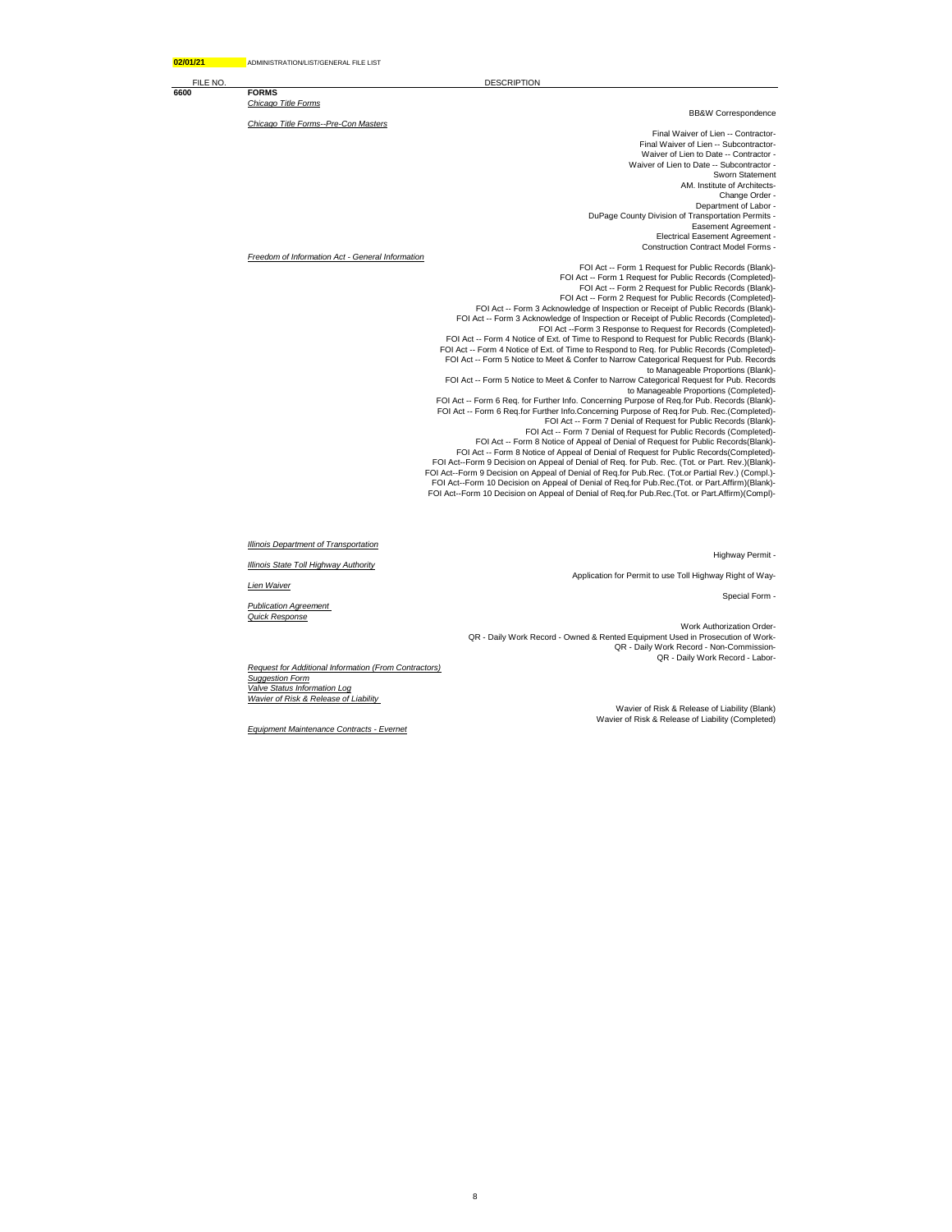FILE NO. DESCRIPTION

**6600 FORMS**  *Chicago Title Forms*

*Chicago Title Forms--Pre-Con Masters*

BB&W Correspondence

Final Waiver of Lien -- Contractor-Final Waiver of Lien -- Subcontractor-Waiver of Lien to Date -- Contractor - Waiver of Lien to Date -- Subcontractor - Sworn Statement AM. Institute of Architects-Change Order - Department of Labor -DuPage County Division of Transportation Permits - Easement Agreement - Electrical Easement Agreement - Construction Contract Model Forms -

*Freedom of Information Act - General Information*

FOI Act -- Form 1 Request for Public Records (Blank)- FOI Act -- Form 1 Request for Public Records (Completed)- FOI Act -- Form 2 Request for Public Records (Blank)- FOI Act -- Form 2 Request for Public Records (Completed)- FOI Act -- Form 3 Acknowledge of Inspection or Receipt of Public Records (Blank)- FOI Act -- Form 3 Acknowledge of Inspection or Receipt of Public Records (Completed)- FOI Act --Form 3 Response to Request for Records (Completed)- FOI Act -- Form 4 Notice of Ext. of Time to Respond to Request for Public Records (Blank)- FOI Act -- Form 4 Notice of Ext. of Time to Respond to Req. for Public Records (Completed)- FOI Act -- Form 5 Notice to Meet & Confer to Narrow Categorical Request for Pub. Records to Manageable Proportions (Blank)- FOI Act -- Form 5 Notice to Meet & Confer to Narrow Categorical Request for Pub. Records<br>to Manageable Proportions (Completed)-<br>FOI Act -- Form 6 Req. for Further Info. Concerning Purpose of Req.for Pub. Records (Blank)<br>FO FOI Act -- Form 7 Denial of Request for Public Records (Blank)- FOI Act -- Form 7 Denial of Request for Public Records (Completed)- FOI Act -- Form 8 Notice of Appeal of Denial of Request for Public Records(Blank)- FOI Act -- Form 8 Notice of Appeal of Denial of Request for Public Records(Completed)- FOI Act--Form 9 Decision on Appeal of Denial of Req. for Pub. Rec. (Tot. or Part. Rev.)(Blank)- FOI Act--Form 9 Decision on Appeal of Denial of Req.for Pub.Rec. (Tot.or Partial Rev.) (Compl.)- FOI Act--Form 10 Decision on Appeal of Denial of Req.for Pub.Rec.(Tot. or Part.Affirm)(Blank)- FOI Act--Form 10 Decision on Appeal of Denial of Req.for Pub.Rec.(Tot. or Part.Affirm)(Compl)-

Highway Permit -

Application for Permit to use Toll Highway Right of Way-

Special Form -

Work Authorization Order-QR - Daily Work Record - Owned & Rented Equipment Used in Prosecution of Work-QR - Daily Work Record - Non-Commission-QR - Daily Work Record - Labor-

*Request for Additional Information (From Contractors) Suggestion Form Valve Status Information Log Wavier of Risk & Release of Liability* 

8

Wavier of Risk & Release of Liability (Blank) Wavier of Risk & Release of Liability (Completed)

*Equipment Maintenance Contracts - Evernet*

*Illinois Department of Transportation*

*Illinois State Toll Highway Authority*

*Lien Waiver*

*Publication Agreement Quick Response*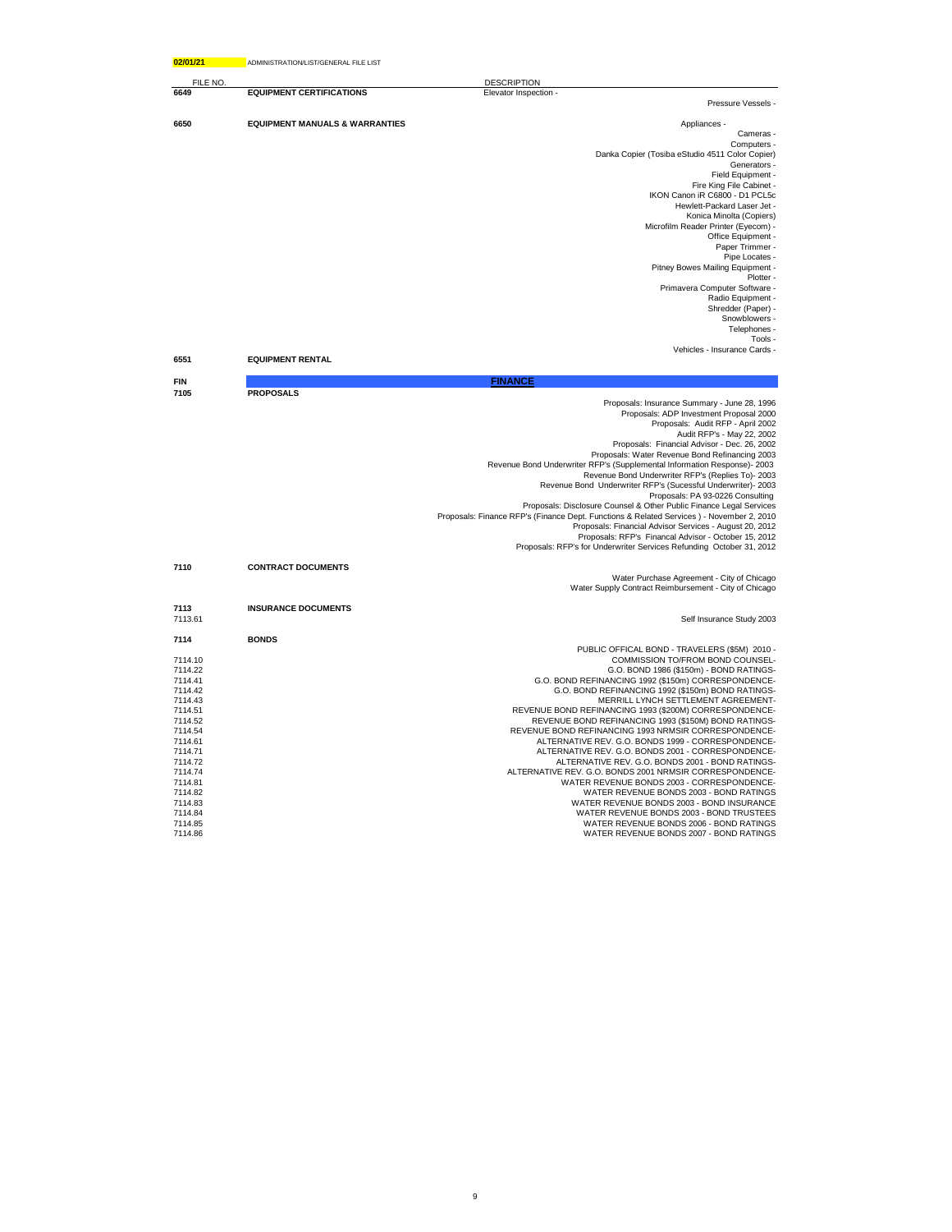| 02/01/21           | ADMINISTRATION/LIST/GENERAL FILE LIST     |                                                                                                                            |
|--------------------|-------------------------------------------|----------------------------------------------------------------------------------------------------------------------------|
| FILE NO            |                                           | <b>DESCRIPTION</b>                                                                                                         |
| 6649               | <b>EQUIPMENT CERTIFICATIONS</b>           | Elevator Inspection -                                                                                                      |
|                    |                                           | Pressure Vessels -                                                                                                         |
| 6650               | <b>EQUIPMENT MANUALS &amp; WARRANTIES</b> | Appliances -                                                                                                               |
|                    |                                           | Cameras -                                                                                                                  |
|                    |                                           | Computers -                                                                                                                |
|                    |                                           | Danka Copier (Tosiba eStudio 4511 Color Copier)                                                                            |
|                    |                                           | Generators -<br>Field Equipment -                                                                                          |
|                    |                                           | Fire King File Cabinet -                                                                                                   |
|                    |                                           | IKON Canon iR C6800 - D1 PCL5c                                                                                             |
|                    |                                           | Hewlett-Packard Laser Jet -                                                                                                |
|                    |                                           | Konica Minolta (Copiers)                                                                                                   |
|                    |                                           | Microfilm Reader Printer (Eyecom) -<br>Office Equipment -                                                                  |
|                    |                                           | Paper Trimmer -                                                                                                            |
|                    |                                           | Pipe Locates -                                                                                                             |
|                    |                                           | Pitney Bowes Mailing Equipment -                                                                                           |
|                    |                                           | Plotter -                                                                                                                  |
|                    |                                           | Primavera Computer Software -                                                                                              |
|                    |                                           | Radio Equipment -<br>Shredder (Paper) -                                                                                    |
|                    |                                           | Snowblowers -                                                                                                              |
|                    |                                           | Telephones -                                                                                                               |
|                    |                                           | Tools -                                                                                                                    |
|                    |                                           | Vehicles - Insurance Cards -                                                                                               |
| 6551               | <b>EQUIPMENT RENTAL</b>                   |                                                                                                                            |
| <b>FIN</b>         |                                           | <b>FINANCE</b>                                                                                                             |
| 7105               | <b>PROPOSALS</b>                          | Proposals: Insurance Summary - June 28, 1996                                                                               |
|                    |                                           | Proposals: ADP Investment Proposal 2000                                                                                    |
|                    |                                           | Proposals: Audit RFP - April 2002                                                                                          |
|                    |                                           | Audit RFP's - May 22, 2002                                                                                                 |
|                    |                                           | Proposals: Financial Advisor - Dec. 26, 2002                                                                               |
|                    |                                           | Proposals: Water Revenue Bond Refinancing 2003<br>Revenue Bond Underwriter RFP's (Supplemental Information Response)- 2003 |
|                    |                                           | Revenue Bond Underwriter RFP's (Replies To)- 2003                                                                          |
|                    |                                           | Revenue Bond Underwriter RFP's (Sucessful Underwriter)- 2003                                                               |
|                    |                                           | Proposals: PA 93-0226 Consulting                                                                                           |
|                    |                                           | Proposals: Disclosure Counsel & Other Public Finance Legal Services                                                        |
|                    |                                           | Proposals: Finance RFP's (Finance Dept. Functions & Related Services) - November 2, 2010                                   |
|                    |                                           | Proposals: Financial Advisor Services - August 20, 2012<br>Proposals: RFP's Financal Advisor - October 15, 2012            |
|                    |                                           | Proposals: RFP's for Underwriter Services Refunding October 31, 2012                                                       |
| 7110               |                                           |                                                                                                                            |
|                    | <b>CONTRACT DOCUMENTS</b>                 | Water Purchase Agreement - City of Chicago                                                                                 |
|                    |                                           | Water Supply Contract Reimbursement - City of Chicago                                                                      |
| 7113               | <b>INSURANCE DOCUMENTS</b>                |                                                                                                                            |
| 7113.61            |                                           | Self Insurance Study 2003                                                                                                  |
|                    |                                           |                                                                                                                            |
| 7114               | <b>BONDS</b>                              | PUBLIC OFFICAL BOND - TRAVELERS (\$5M) 2010 -                                                                              |
| 7114.10            |                                           | COMMISSION TO/FROM BOND COUNSEL-                                                                                           |
| 7114.22            |                                           | G.O. BOND 1986 (\$150m) - BOND RATINGS-                                                                                    |
| 7114.41            |                                           | G.O. BOND REFINANCING 1992 (\$150m) CORRESPONDENCE-                                                                        |
| 7114.42<br>7114.43 |                                           | G.O. BOND REFINANCING 1992 (\$150m) BOND RATINGS-<br>MERRILL LYNCH SETTLEMENT AGREEMENT-                                   |
| 7114.51            |                                           | REVENUE BOND REFINANCING 1993 (\$200M) CORRESPONDENCE-                                                                     |
| 7114.52            |                                           | REVENUE BOND REFINANCING 1993 (\$150M) BOND RATINGS-                                                                       |
| 7114.54            |                                           | REVENUE BOND REFINANCING 1993 NRMSIR CORRESPONDENCE-                                                                       |
| 7114.61            |                                           | ALTERNATIVE REV. G.O. BONDS 1999 - CORRESPONDENCE-                                                                         |
| 7114.71            |                                           | ALTERNATIVE REV. G.O. BONDS 2001 - CORRESPONDENCE-                                                                         |
| 7114.72            |                                           | ALTERNATIVE REV. G.O. BONDS 2001 - BOND RATINGS-                                                                           |
| 7114.74<br>7114.81 |                                           | ALTERNATIVE REV. G.O. BONDS 2001 NRMSIR CORRESPONDENCE-<br>WATER REVENUE BONDS 2003 - CORRESPONDENCE-                      |
| 7114.82            |                                           | WATER REVENUE BONDS 2003 - BOND RATINGS                                                                                    |
| 7114.83            |                                           | WATER REVENUE BONDS 2003 - BOND INSURANCE                                                                                  |
| 7114.84            |                                           | WATER REVENUE BONDS 2003 - BOND TRUSTEES                                                                                   |
| 7114.85            |                                           | WATER REVENUE BONDS 2006 - BOND RATINGS                                                                                    |
| 7114.86            |                                           | WATER REVENUE BONDS 2007 - BOND RATINGS                                                                                    |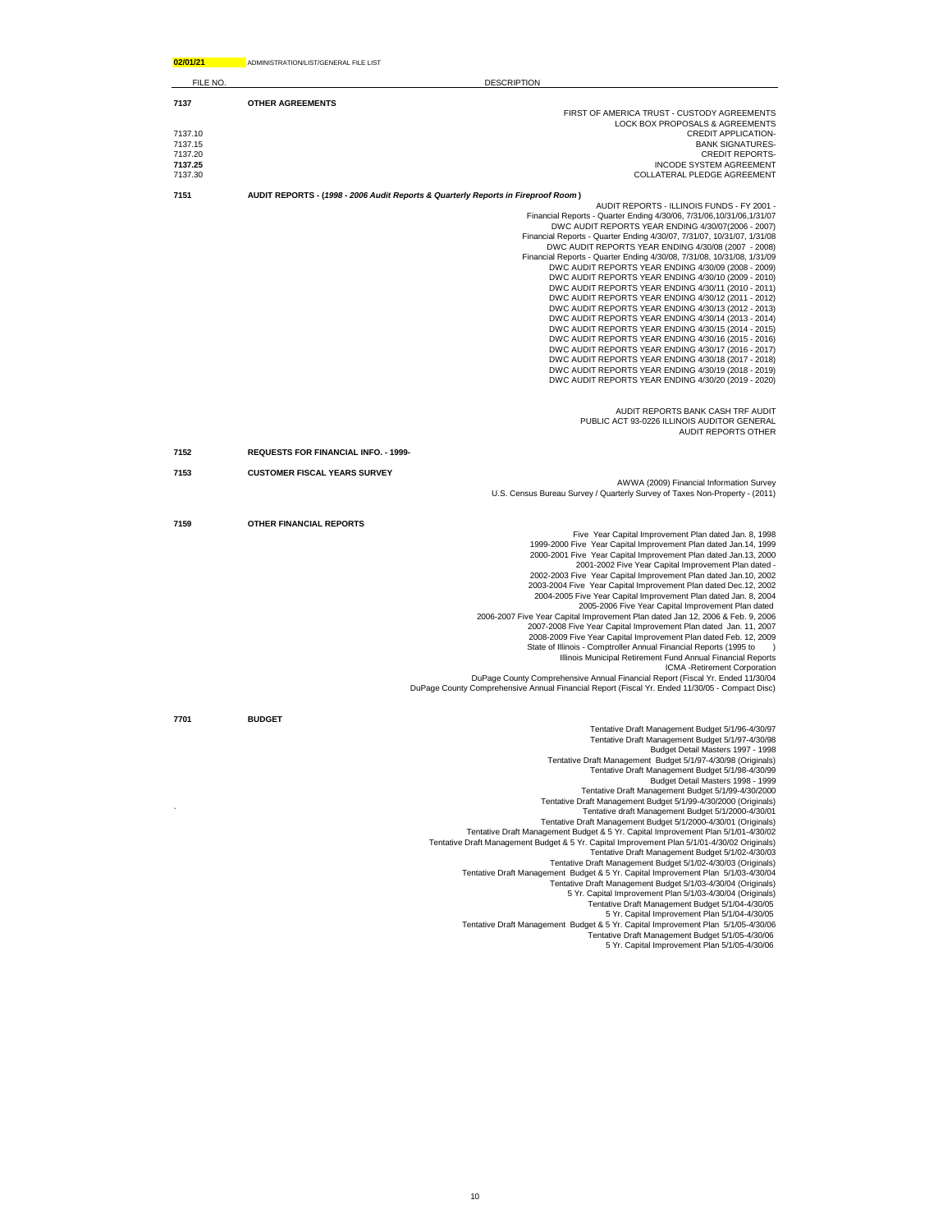| 02/01/21           | ADMINISTRATION/LIST/GENERAL FILE LIST                                                                                                                                                                                                                                                                                                                                                                                                                                                                                                                                                                                                                                                                                                                                                                                                                                                                                                                                                                                                                                                                                 |
|--------------------|-----------------------------------------------------------------------------------------------------------------------------------------------------------------------------------------------------------------------------------------------------------------------------------------------------------------------------------------------------------------------------------------------------------------------------------------------------------------------------------------------------------------------------------------------------------------------------------------------------------------------------------------------------------------------------------------------------------------------------------------------------------------------------------------------------------------------------------------------------------------------------------------------------------------------------------------------------------------------------------------------------------------------------------------------------------------------------------------------------------------------|
| FILE NO.           | <b>DESCRIPTION</b>                                                                                                                                                                                                                                                                                                                                                                                                                                                                                                                                                                                                                                                                                                                                                                                                                                                                                                                                                                                                                                                                                                    |
| 7137               | <b>OTHER AGREEMENTS</b>                                                                                                                                                                                                                                                                                                                                                                                                                                                                                                                                                                                                                                                                                                                                                                                                                                                                                                                                                                                                                                                                                               |
|                    | FIRST OF AMERICA TRUST - CUSTODY AGREEMENTS                                                                                                                                                                                                                                                                                                                                                                                                                                                                                                                                                                                                                                                                                                                                                                                                                                                                                                                                                                                                                                                                           |
| 7137.10            | LOCK BOX PROPOSALS & AGREEMENTS<br>CREDIT APPLICATION-                                                                                                                                                                                                                                                                                                                                                                                                                                                                                                                                                                                                                                                                                                                                                                                                                                                                                                                                                                                                                                                                |
| 7137.15            | <b>BANK SIGNATURES-</b>                                                                                                                                                                                                                                                                                                                                                                                                                                                                                                                                                                                                                                                                                                                                                                                                                                                                                                                                                                                                                                                                                               |
| 7137.20            | <b>CREDIT REPORTS-</b>                                                                                                                                                                                                                                                                                                                                                                                                                                                                                                                                                                                                                                                                                                                                                                                                                                                                                                                                                                                                                                                                                                |
| 7137.25<br>7137.30 | <b>INCODE SYSTEM AGREEMENT</b><br>COLLATERAL PLEDGE AGREEMENT                                                                                                                                                                                                                                                                                                                                                                                                                                                                                                                                                                                                                                                                                                                                                                                                                                                                                                                                                                                                                                                         |
|                    |                                                                                                                                                                                                                                                                                                                                                                                                                                                                                                                                                                                                                                                                                                                                                                                                                                                                                                                                                                                                                                                                                                                       |
| 7151               | AUDIT REPORTS - (1998 - 2006 Audit Reports & Quarterly Reports in Fireproof Room)<br>AUDIT REPORTS - ILLINOIS FUNDS - FY 2001 -                                                                                                                                                                                                                                                                                                                                                                                                                                                                                                                                                                                                                                                                                                                                                                                                                                                                                                                                                                                       |
|                    | Financial Reports - Quarter Ending 4/30/06, 7/31/06, 10/31/06, 1/31/07<br>DWC AUDIT REPORTS YEAR ENDING 4/30/07(2006 - 2007)<br>Financial Reports - Quarter Ending 4/30/07, 7/31/07, 10/31/07, 1/31/08<br>DWC AUDIT REPORTS YEAR ENDING 4/30/08 (2007 - 2008)<br>Financial Reports - Quarter Ending 4/30/08, 7/31/08, 10/31/08, 1/31/09<br>DWC AUDIT REPORTS YEAR ENDING 4/30/09 (2008 - 2009)<br>DWC AUDIT REPORTS YEAR ENDING 4/30/10 (2009 - 2010)<br>DWC AUDIT REPORTS YEAR ENDING 4/30/11 (2010 - 2011)                                                                                                                                                                                                                                                                                                                                                                                                                                                                                                                                                                                                          |
|                    | DWC AUDIT REPORTS YEAR ENDING 4/30/12 (2011 - 2012)<br>DWC AUDIT REPORTS YEAR ENDING 4/30/13 (2012 - 2013)<br>DWC AUDIT REPORTS YEAR ENDING 4/30/14 (2013 - 2014)<br>DWC AUDIT REPORTS YEAR ENDING 4/30/15 (2014 - 2015)<br>DWC AUDIT REPORTS YEAR ENDING 4/30/16 (2015 - 2016)<br>DWC AUDIT REPORTS YEAR ENDING 4/30/17 (2016 - 2017)<br>DWC AUDIT REPORTS YEAR ENDING 4/30/18 (2017 - 2018)<br>DWC AUDIT REPORTS YEAR ENDING 4/30/19 (2018 - 2019)<br>DWC AUDIT REPORTS YEAR ENDING 4/30/20 (2019 - 2020)                                                                                                                                                                                                                                                                                                                                                                                                                                                                                                                                                                                                           |
|                    | AUDIT REPORTS BANK CASH TRF AUDIT<br>PUBLIC ACT 93-0226 ILLINOIS AUDITOR GENERAL<br><b>AUDIT REPORTS OTHER</b>                                                                                                                                                                                                                                                                                                                                                                                                                                                                                                                                                                                                                                                                                                                                                                                                                                                                                                                                                                                                        |
| 7152               | <b>REQUESTS FOR FINANCIAL INFO. - 1999-</b>                                                                                                                                                                                                                                                                                                                                                                                                                                                                                                                                                                                                                                                                                                                                                                                                                                                                                                                                                                                                                                                                           |
| 7153               | <b>CUSTOMER FISCAL YEARS SURVEY</b>                                                                                                                                                                                                                                                                                                                                                                                                                                                                                                                                                                                                                                                                                                                                                                                                                                                                                                                                                                                                                                                                                   |
|                    | AWWA (2009) Financial Information Survey                                                                                                                                                                                                                                                                                                                                                                                                                                                                                                                                                                                                                                                                                                                                                                                                                                                                                                                                                                                                                                                                              |
|                    | U.S. Census Bureau Survey / Quarterly Survey of Taxes Non-Property - (2011)                                                                                                                                                                                                                                                                                                                                                                                                                                                                                                                                                                                                                                                                                                                                                                                                                                                                                                                                                                                                                                           |
| 7159               | OTHER FINANCIAL REPORTS                                                                                                                                                                                                                                                                                                                                                                                                                                                                                                                                                                                                                                                                                                                                                                                                                                                                                                                                                                                                                                                                                               |
| 7701               | Five Year Capital Improvement Plan dated Jan. 8, 1998<br>1999-2000 Five Year Capital Improvement Plan dated Jan.14, 1999<br>2000-2001 Five Year Capital Improvement Plan dated Jan.13, 2000<br>2001-2002 Five Year Capital Improvement Plan dated -<br>2002-2003 Five Year Capital Improvement Plan dated Jan.10, 2002<br>2003-2004 Five Year Capital Improvement Plan dated Dec.12, 2002<br>2004-2005 Five Year Capital Improvement Plan dated Jan. 8, 2004<br>2005-2006 Five Year Capital Improvement Plan dated<br>2006-2007 Five Year Capital Improvement Plan dated Jan 12, 2006 & Feb. 9, 2006<br>2007-2008 Five Year Capital Improvement Plan dated Jan. 11, 2007<br>2008-2009 Five Year Capital Improvement Plan dated Feb. 12, 2009<br>State of Illinois - Comptroller Annual Financial Reports (1995 to<br>Illinois Municipal Retirement Fund Annual Financial Reports<br>ICMA -Retirement Corporation<br>DuPage County Comprehensive Annual Financial Report (Fiscal Yr. Ended 11/30/04<br>DuPage County Comprehensive Annual Financial Report (Fiscal Yr. Ended 11/30/05 - Compact Disc)<br><b>BUDGET</b> |
|                    | Tentative Draft Management Budget 5/1/96-4/30/97                                                                                                                                                                                                                                                                                                                                                                                                                                                                                                                                                                                                                                                                                                                                                                                                                                                                                                                                                                                                                                                                      |
|                    | Tentative Draft Management Budget 5/1/97-4/30/98<br>Budget Detail Masters 1997 - 1998                                                                                                                                                                                                                                                                                                                                                                                                                                                                                                                                                                                                                                                                                                                                                                                                                                                                                                                                                                                                                                 |
|                    | Tentative Draft Management Budget 5/1/97-4/30/98 (Originals)                                                                                                                                                                                                                                                                                                                                                                                                                                                                                                                                                                                                                                                                                                                                                                                                                                                                                                                                                                                                                                                          |
|                    | Tentative Draft Management Budget 5/1/98-4/30/99                                                                                                                                                                                                                                                                                                                                                                                                                                                                                                                                                                                                                                                                                                                                                                                                                                                                                                                                                                                                                                                                      |
|                    | Budget Detail Masters 1998 - 1999<br>Tentative Draft Management Budget 5/1/99-4/30/2000                                                                                                                                                                                                                                                                                                                                                                                                                                                                                                                                                                                                                                                                                                                                                                                                                                                                                                                                                                                                                               |
|                    | Tentative Draft Management Budget 5/1/99-4/30/2000 (Originals)                                                                                                                                                                                                                                                                                                                                                                                                                                                                                                                                                                                                                                                                                                                                                                                                                                                                                                                                                                                                                                                        |
|                    | Tentative draft Management Budget 5/1/2000-4/30/01                                                                                                                                                                                                                                                                                                                                                                                                                                                                                                                                                                                                                                                                                                                                                                                                                                                                                                                                                                                                                                                                    |
|                    | Tentative Draft Management Budget 5/1/2000-4/30/01 (Originals)<br>Tentative Draft Management Budget & 5 Yr. Capital Improvement Plan 5/1/01-4/30/02                                                                                                                                                                                                                                                                                                                                                                                                                                                                                                                                                                                                                                                                                                                                                                                                                                                                                                                                                                   |
|                    | Tentative Draft Management Budget & 5 Yr. Capital Improvement Plan 5/1/01-4/30/02 Originals)                                                                                                                                                                                                                                                                                                                                                                                                                                                                                                                                                                                                                                                                                                                                                                                                                                                                                                                                                                                                                          |
|                    | Tentative Draft Management Budget 5/1/02-4/30/03                                                                                                                                                                                                                                                                                                                                                                                                                                                                                                                                                                                                                                                                                                                                                                                                                                                                                                                                                                                                                                                                      |
|                    | Tentative Draft Management Budget 5/1/02-4/30/03 (Originals)<br>Tentative Draft Management Budget & 5 Yr. Capital Improvement Plan 5/1/03-4/30/04                                                                                                                                                                                                                                                                                                                                                                                                                                                                                                                                                                                                                                                                                                                                                                                                                                                                                                                                                                     |
|                    | Tentative Draft Management Budget 5/1/03-4/30/04 (Originals)                                                                                                                                                                                                                                                                                                                                                                                                                                                                                                                                                                                                                                                                                                                                                                                                                                                                                                                                                                                                                                                          |
|                    | 5 Yr. Capital Improvement Plan 5/1/03-4/30/04 (Originals)                                                                                                                                                                                                                                                                                                                                                                                                                                                                                                                                                                                                                                                                                                                                                                                                                                                                                                                                                                                                                                                             |
|                    | Tentative Draft Management Budget 5/1/04-4/30/05                                                                                                                                                                                                                                                                                                                                                                                                                                                                                                                                                                                                                                                                                                                                                                                                                                                                                                                                                                                                                                                                      |
|                    | 5 Yr. Capital Improvement Plan 5/1/04-4/30/05<br>Tentative Draft Management Budget & 5 Yr. Capital Improvement Plan 5/1/05-4/30/06                                                                                                                                                                                                                                                                                                                                                                                                                                                                                                                                                                                                                                                                                                                                                                                                                                                                                                                                                                                    |
|                    | Tentative Draft Management Budget 5/1/05-4/30/06                                                                                                                                                                                                                                                                                                                                                                                                                                                                                                                                                                                                                                                                                                                                                                                                                                                                                                                                                                                                                                                                      |
|                    | 5 Yr. Capital Improvement Plan 5/1/05-4/30/06                                                                                                                                                                                                                                                                                                                                                                                                                                                                                                                                                                                                                                                                                                                                                                                                                                                                                                                                                                                                                                                                         |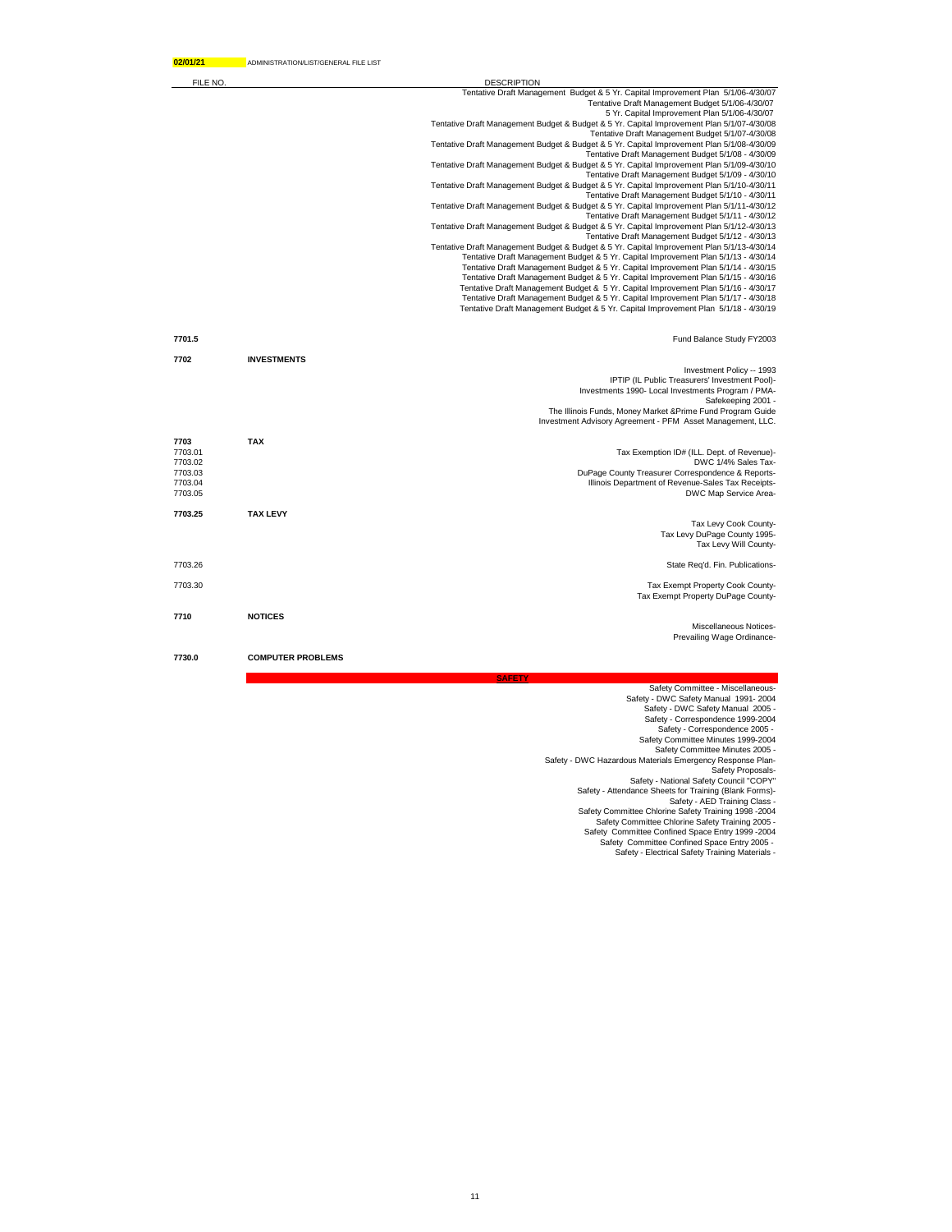| FILE NO. |                    | <b>DESCRIPTION</b>                                                                                                                                                         |
|----------|--------------------|----------------------------------------------------------------------------------------------------------------------------------------------------------------------------|
|          |                    | Tentative Draft Management Budget & 5 Yr. Capital Improvement Plan 5/1/06-4/30/07                                                                                          |
|          |                    | Tentative Draft Management Budget 5/1/06-4/30/07                                                                                                                           |
|          |                    | 5 Yr. Capital Improvement Plan 5/1/06-4/30/07                                                                                                                              |
|          |                    | Tentative Draft Management Budget & Budget & 5 Yr. Capital Improvement Plan 5/1/07-4/30/08                                                                                 |
|          |                    | Tentative Draft Management Budget 5/1/07-4/30/08                                                                                                                           |
|          |                    | Tentative Draft Management Budget & Budget & 5 Yr. Capital Improvement Plan 5/1/08-4/30/09                                                                                 |
|          |                    | Tentative Draft Management Budget 5/1/08 - 4/30/09                                                                                                                         |
|          |                    | Tentative Draft Management Budget & Budget & 5 Yr. Capital Improvement Plan 5/1/09-4/30/10<br>Tentative Draft Management Budget 5/1/09 - 4/30/10                           |
|          |                    | Tentative Draft Management Budget & Budget & 5 Yr. Capital Improvement Plan 5/1/10-4/30/11                                                                                 |
|          |                    | Tentative Draft Management Budget 5/1/10 - 4/30/11                                                                                                                         |
|          |                    | Tentative Draft Management Budget & Budget & 5 Yr. Capital Improvement Plan 5/1/11-4/30/12                                                                                 |
|          |                    | Tentative Draft Management Budget 5/1/11 - 4/30/12                                                                                                                         |
|          |                    | Tentative Draft Management Budget & Budget & 5 Yr. Capital Improvement Plan 5/1/12-4/30/13                                                                                 |
|          |                    | Tentative Draft Management Budget 5/1/12 - 4/30/13                                                                                                                         |
|          |                    | Tentative Draft Management Budget & Budget & 5 Yr. Capital Improvement Plan 5/1/13-4/30/14                                                                                 |
|          |                    | Tentative Draft Management Budget & 5 Yr. Capital Improvement Plan 5/1/13 - 4/30/14                                                                                        |
|          |                    | Tentative Draft Management Budget & 5 Yr. Capital Improvement Plan 5/1/14 - 4/30/15                                                                                        |
|          |                    | Tentative Draft Management Budget & 5 Yr. Capital Improvement Plan 5/1/15 - 4/30/16                                                                                        |
|          |                    | Tentative Draft Management Budget & 5 Yr. Capital Improvement Plan 5/1/16 - 4/30/17<br>Tentative Draft Management Budget & 5 Yr. Capital Improvement Plan 5/1/17 - 4/30/18 |
|          |                    | Tentative Draft Management Budget & 5 Yr. Capital Improvement Plan 5/1/18 - 4/30/19                                                                                        |
|          |                    |                                                                                                                                                                            |
| 7701.5   |                    | Fund Balance Study FY2003                                                                                                                                                  |
|          |                    |                                                                                                                                                                            |
| 7702     | <b>INVESTMENTS</b> |                                                                                                                                                                            |
|          |                    | Investment Policy -- 1993                                                                                                                                                  |
|          |                    | IPTIP (IL Public Treasurers' Investment Pool)-                                                                                                                             |
|          |                    | Investments 1990- Local Investments Program / PMA-                                                                                                                         |
|          |                    | Safekeeping 2001 -                                                                                                                                                         |
|          |                    | The Illinois Funds, Money Market & Prime Fund Program Guide                                                                                                                |
|          |                    | Investment Advisory Agreement - PFM Asset Management, LLC.                                                                                                                 |

| 7703<br>7703.01<br>7703.02<br>7703.03<br>7703.04<br>7703.05 | <b>TAX</b>               | Tax Exemption ID# (ILL. Dept. of Revenue)-<br>DWC 1/4% Sales Tax-<br>DuPage County Treasurer Correspondence & Reports-<br>Illinois Department of Revenue-Sales Tax Receipts-<br>DWC Map Service Area- |
|-------------------------------------------------------------|--------------------------|-------------------------------------------------------------------------------------------------------------------------------------------------------------------------------------------------------|
| 7703.25                                                     | <b>TAX LEVY</b>          | Tax Levy Cook County-                                                                                                                                                                                 |
|                                                             |                          | Tax Levy DuPage County 1995-<br>Tax Levy Will County-                                                                                                                                                 |
| 7703.26                                                     |                          | State Reg'd. Fin. Publications-                                                                                                                                                                       |
| 7703.30                                                     |                          | Tax Exempt Property Cook County-<br>Tax Exempt Property DuPage County-                                                                                                                                |
| 7710                                                        | <b>NOTICES</b>           | Miscellaneous Notices-<br>Prevailing Wage Ordinance-                                                                                                                                                  |
| 7730.0                                                      | <b>COMPUTER PROBLEMS</b> |                                                                                                                                                                                                       |

**SAFETY**

Safety Committee - Miscellaneous-<br>
Safety DIVC Safety Manual 1991-2004<br>
Safety - DWC Safety Manual 2005<br>
Safety - Correspondence 2092-2004<br>
Safety Committee Minutes 1999-2004<br>
Safety Committee Minutes 2005<br>
Safety Committe